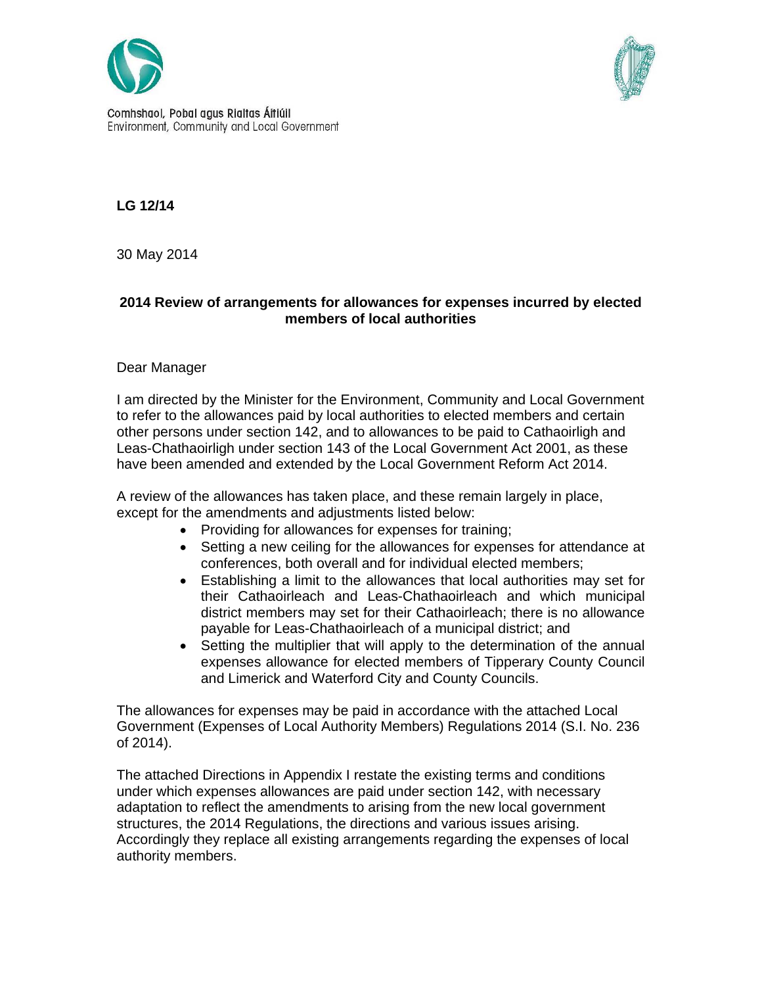



Comhshaol, Pobal agus Rialtas Áitiúil Environment, Community and Local Government

**LG 12/14** 

30 May 2014

# **2014 Review of arrangements for allowances for expenses incurred by elected members of local authorities**

# Dear Manager

I am directed by the Minister for the Environment, Community and Local Government to refer to the allowances paid by local authorities to elected members and certain other persons under section 142, and to allowances to be paid to Cathaoirligh and Leas-Chathaoirligh under section 143 of the Local Government Act 2001, as these have been amended and extended by the Local Government Reform Act 2014.

A review of the allowances has taken place, and these remain largely in place, except for the amendments and adjustments listed below:

- Providing for allowances for expenses for training;
- Setting a new ceiling for the allowances for expenses for attendance at conferences, both overall and for individual elected members;
- Establishing a limit to the allowances that local authorities may set for their Cathaoirleach and Leas-Chathaoirleach and which municipal district members may set for their Cathaoirleach; there is no allowance payable for Leas-Chathaoirleach of a municipal district; and
- Setting the multiplier that will apply to the determination of the annual expenses allowance for elected members of Tipperary County Council and Limerick and Waterford City and County Councils.

The allowances for expenses may be paid in accordance with the attached Local Government (Expenses of Local Authority Members) Regulations 2014 (S.I. No. 236 of 2014).

The attached Directions in Appendix I restate the existing terms and conditions under which expenses allowances are paid under section 142, with necessary adaptation to reflect the amendments to arising from the new local government structures, the 2014 Regulations, the directions and various issues arising. Accordingly they replace all existing arrangements regarding the expenses of local authority members.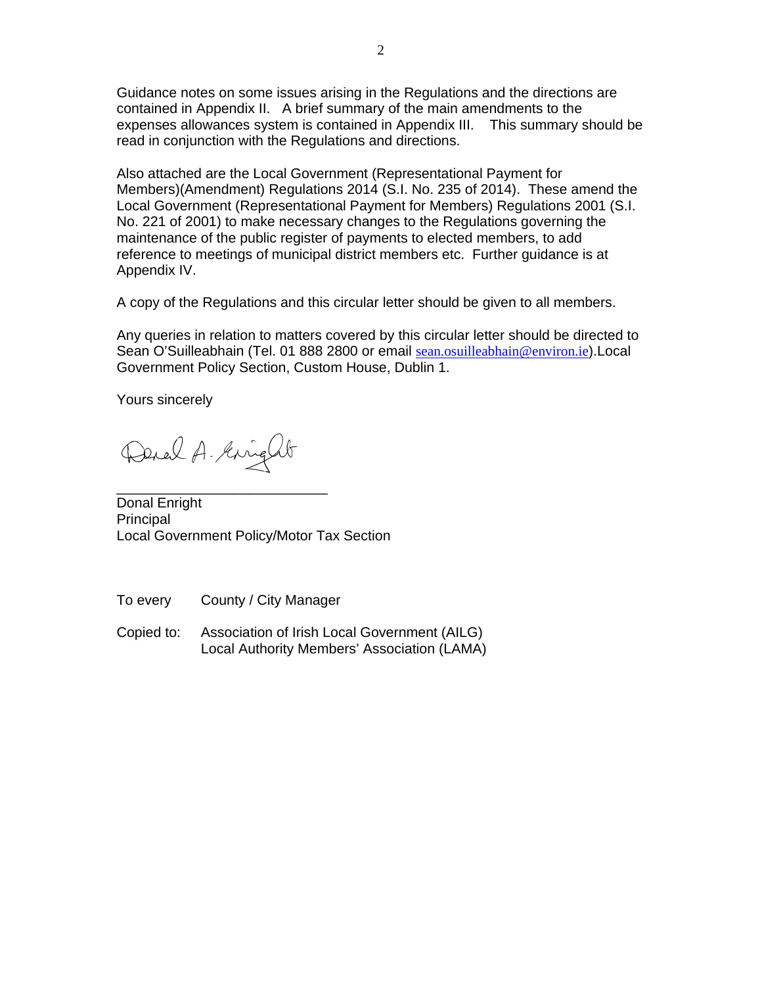Guidance notes on some issues arising in the Regulations and the directions are contained in Appendix II. A brief summary of the main amendments to the expenses allowances system is contained in Appendix III. This summary should be read in conjunction with the Regulations and directions.

Also attached are the Local Government (Representational Payment for Members)(Amendment) Regulations 2014 (S.I. No. 235 of 2014). These amend the Local Government (Representational Payment for Members) Regulations 2001 (S.I. No. 221 of 2001) to make necessary changes to the Regulations governing the maintenance of the public register of payments to elected members, to add reference to meetings of municipal district members etc. Further guidance is at Appendix IV.

A copy of the Regulations and this circular letter should be given to all members.

Any queries in relation to matters covered by this circular letter should be directed to Sean O'Suilleabhain (Tel. 01 888 2800 or email sean.osuilleabhain@environ.ie).Local Government Policy Section, Custom House, Dublin 1.

Yours sincerely

Derel A. Kinght

\_\_\_\_\_\_\_\_\_\_\_\_\_\_\_\_\_\_\_\_\_\_\_\_\_\_\_

Donal Enright Principal Local Government Policy/Motor Tax Section

To every County / City Manager

Copied to: Association of Irish Local Government (AILG) Local Authority Members' Association (LAMA)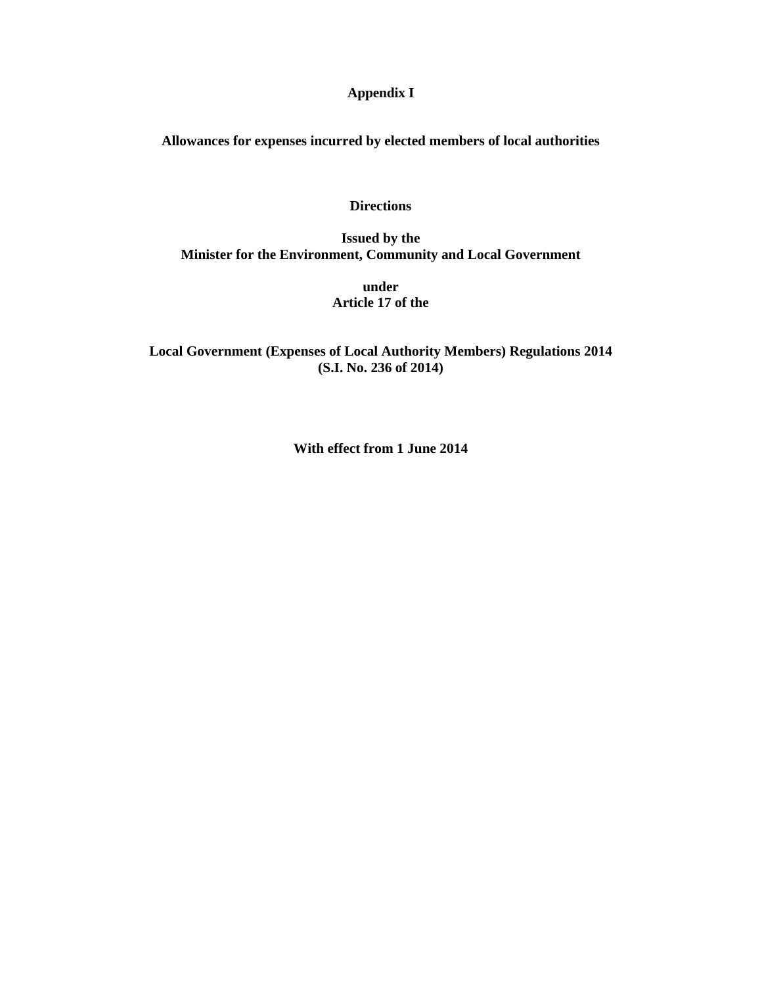# **Appendix I**

**Allowances for expenses incurred by elected members of local authorities** 

### **Directions**

**Issued by the Minister for the Environment, Community and Local Government** 

> **under Article 17 of the**

**Local Government (Expenses of Local Authority Members) Regulations 2014 (S.I. No. 236 of 2014)** 

**With effect from 1 June 2014**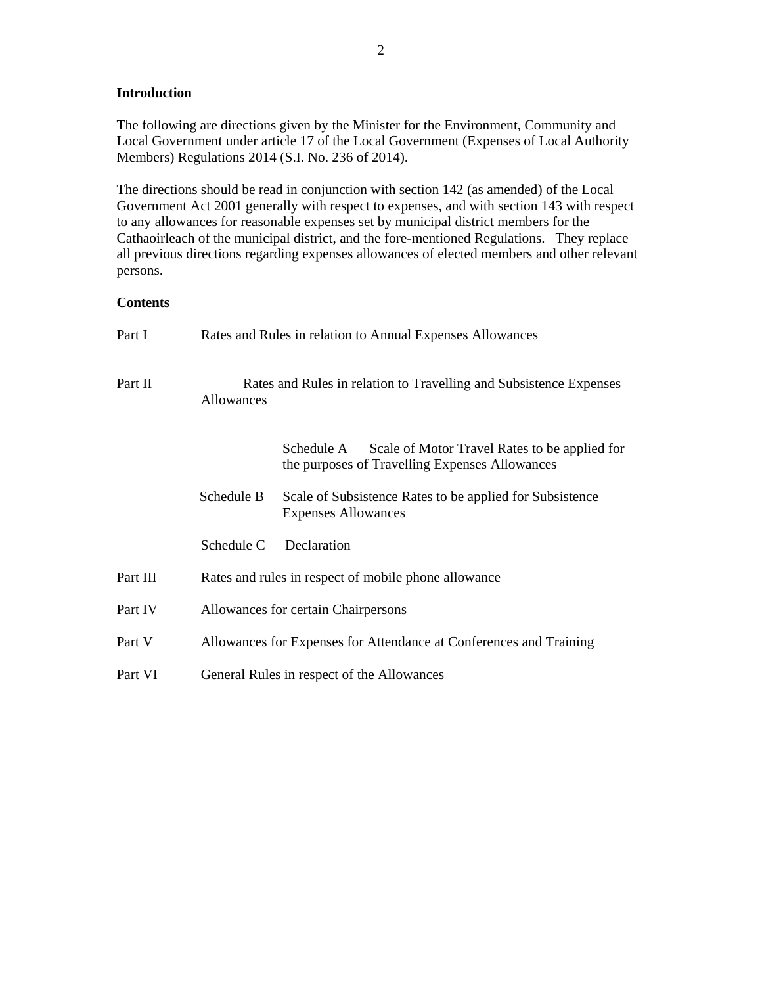## **Introduction**

The following are directions given by the Minister for the Environment, Community and Local Government under article 17 of the Local Government (Expenses of Local Authority Members) Regulations 2014 (S.I. No. 236 of 2014).

The directions should be read in conjunction with section 142 (as amended) of the Local Government Act 2001 generally with respect to expenses, and with section 143 with respect to any allowances for reasonable expenses set by municipal district members for the Cathaoirleach of the municipal district, and the fore-mentioned Regulations. They replace all previous directions regarding expenses allowances of elected members and other relevant persons.

### **Contents**

| Part I   |            | Rates and Rules in relation to Annual Expenses Allowances                                                     |  |  |
|----------|------------|---------------------------------------------------------------------------------------------------------------|--|--|
| Part II  | Allowances | Rates and Rules in relation to Travelling and Subsistence Expenses                                            |  |  |
|          |            | Schedule A<br>Scale of Motor Travel Rates to be applied for<br>the purposes of Travelling Expenses Allowances |  |  |
|          | Schedule B | Scale of Subsistence Rates to be applied for Subsistence<br><b>Expenses Allowances</b>                        |  |  |
|          | Schedule C | Declaration                                                                                                   |  |  |
| Part III |            | Rates and rules in respect of mobile phone allowance                                                          |  |  |
| Part IV  |            | Allowances for certain Chairpersons                                                                           |  |  |
| Part V   |            | Allowances for Expenses for Attendance at Conferences and Training                                            |  |  |
| Part VI  |            | General Rules in respect of the Allowances                                                                    |  |  |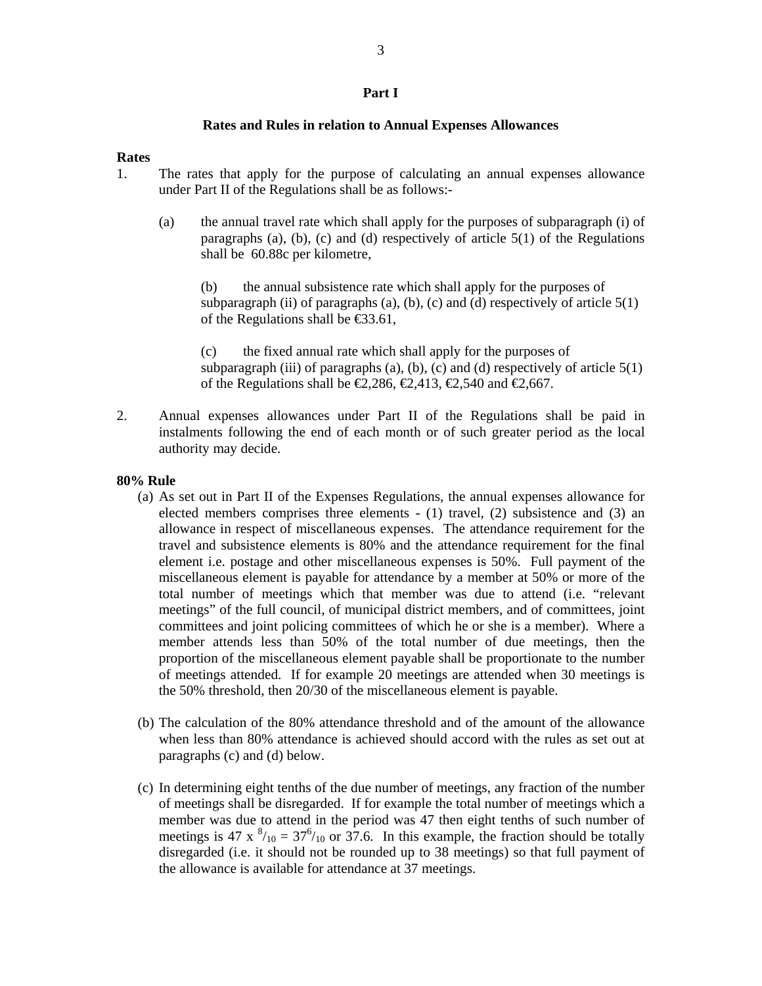#### **Part I**

#### **Rates and Rules in relation to Annual Expenses Allowances**

#### **Rates**

- 1. The rates that apply for the purpose of calculating an annual expenses allowance under Part II of the Regulations shall be as follows:-
	- (a) the annual travel rate which shall apply for the purposes of subparagraph (i) of paragraphs (a), (b), (c) and (d) respectively of article 5(1) of the Regulations shall be 60.88c per kilometre,

 (b) the annual subsistence rate which shall apply for the purposes of subparagraph (ii) of paragraphs (a), (b), (c) and (d) respectively of article  $5(1)$ of the Regulations shall be €33.61,

 (c) the fixed annual rate which shall apply for the purposes of subparagraph (iii) of paragraphs (a), (b), (c) and (d) respectively of article  $5(1)$ of the Regulations shall be  $\infty$ , 286,  $\infty$ , 413,  $\infty$ , 540 and  $\infty$ , 667.

2. Annual expenses allowances under Part II of the Regulations shall be paid in instalments following the end of each month or of such greater period as the local authority may decide.

#### **80% Rule**

- (a) As set out in Part II of the Expenses Regulations, the annual expenses allowance for elected members comprises three elements - (1) travel, (2) subsistence and (3) an allowance in respect of miscellaneous expenses. The attendance requirement for the travel and subsistence elements is 80% and the attendance requirement for the final element i.e. postage and other miscellaneous expenses is 50%. Full payment of the miscellaneous element is payable for attendance by a member at 50% or more of the total number of meetings which that member was due to attend (i.e. "relevant meetings" of the full council, of municipal district members, and of committees, joint committees and joint policing committees of which he or she is a member). Where a member attends less than 50% of the total number of due meetings, then the proportion of the miscellaneous element payable shall be proportionate to the number of meetings attended. If for example 20 meetings are attended when 30 meetings is the 50% threshold, then 20/30 of the miscellaneous element is payable.
- (b) The calculation of the 80% attendance threshold and of the amount of the allowance when less than 80% attendance is achieved should accord with the rules as set out at paragraphs (c) and (d) below.
- (c) In determining eight tenths of the due number of meetings, any fraction of the number of meetings shall be disregarded. If for example the total number of meetings which a member was due to attend in the period was 47 then eight tenths of such number of meetings is 47 x  $^{8}/_{10} = 37^{6}/_{10}$  or 37.6. In this example, the fraction should be totally disregarded (i.e. it should not be rounded up to 38 meetings) so that full payment of the allowance is available for attendance at 37 meetings.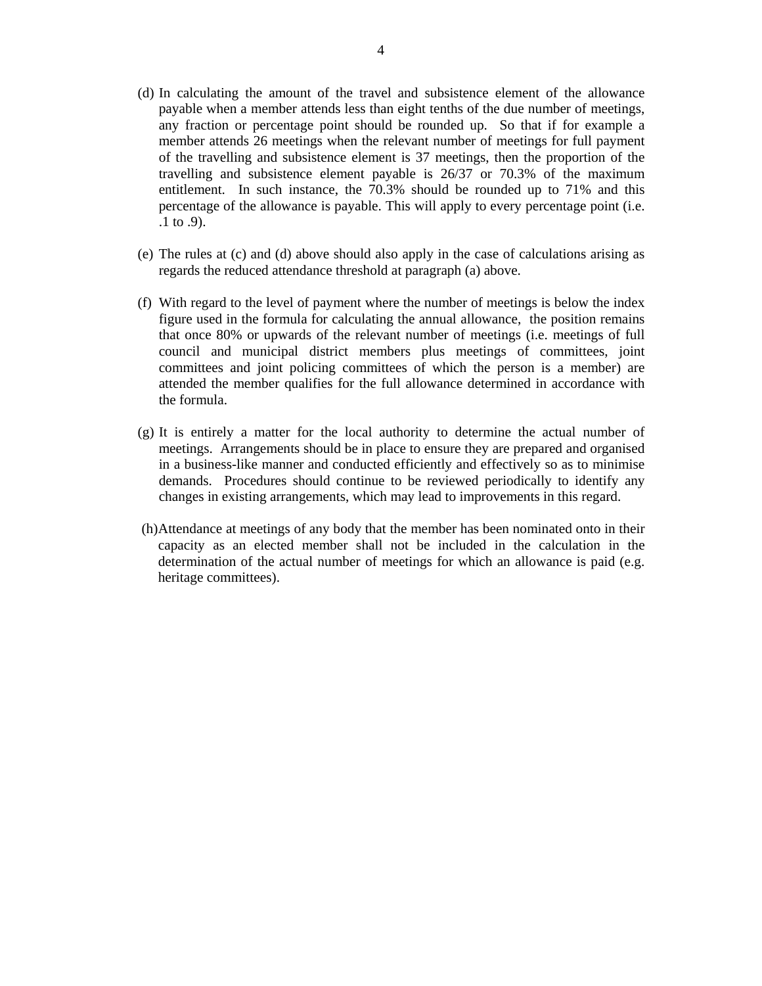- (d) In calculating the amount of the travel and subsistence element of the allowance payable when a member attends less than eight tenths of the due number of meetings, any fraction or percentage point should be rounded up. So that if for example a member attends 26 meetings when the relevant number of meetings for full payment of the travelling and subsistence element is 37 meetings, then the proportion of the travelling and subsistence element payable is 26/37 or 70.3% of the maximum entitlement. In such instance, the 70.3% should be rounded up to 71% and this percentage of the allowance is payable. This will apply to every percentage point (i.e. .1 to .9).
- (e) The rules at (c) and (d) above should also apply in the case of calculations arising as regards the reduced attendance threshold at paragraph (a) above.
- (f) With regard to the level of payment where the number of meetings is below the index figure used in the formula for calculating the annual allowance, the position remains that once 80% or upwards of the relevant number of meetings (i.e. meetings of full council and municipal district members plus meetings of committees, joint committees and joint policing committees of which the person is a member) are attended the member qualifies for the full allowance determined in accordance with the formula.
- (g) It is entirely a matter for the local authority to determine the actual number of meetings. Arrangements should be in place to ensure they are prepared and organised in a business-like manner and conducted efficiently and effectively so as to minimise demands. Procedures should continue to be reviewed periodically to identify any changes in existing arrangements, which may lead to improvements in this regard.
- (h)Attendance at meetings of any body that the member has been nominated onto in their capacity as an elected member shall not be included in the calculation in the determination of the actual number of meetings for which an allowance is paid (e.g. heritage committees).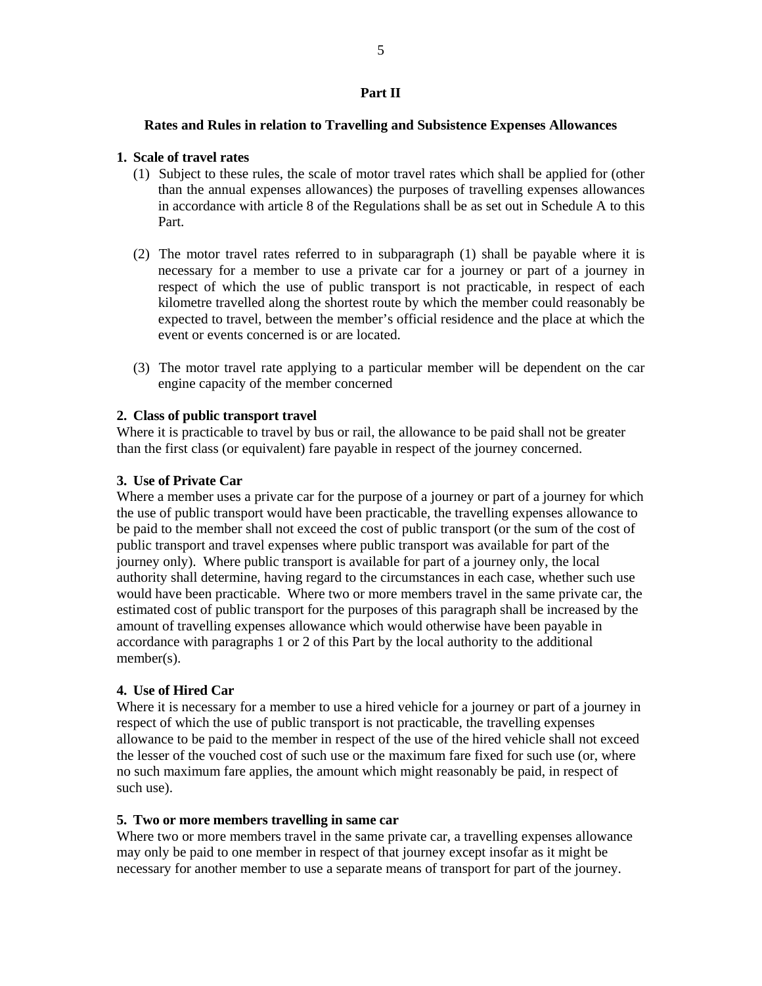### **Part II**

#### **Rates and Rules in relation to Travelling and Subsistence Expenses Allowances**

### **1. Scale of travel rates**

- (1) Subject to these rules, the scale of motor travel rates which shall be applied for (other than the annual expenses allowances) the purposes of travelling expenses allowances in accordance with article 8 of the Regulations shall be as set out in Schedule A to this Part.
- (2) The motor travel rates referred to in subparagraph (1) shall be payable where it is necessary for a member to use a private car for a journey or part of a journey in respect of which the use of public transport is not practicable, in respect of each kilometre travelled along the shortest route by which the member could reasonably be expected to travel, between the member's official residence and the place at which the event or events concerned is or are located.
- (3) The motor travel rate applying to a particular member will be dependent on the car engine capacity of the member concerned

### **2. Class of public transport travel**

Where it is practicable to travel by bus or rail, the allowance to be paid shall not be greater than the first class (or equivalent) fare payable in respect of the journey concerned.

#### **3. Use of Private Car**

Where a member uses a private car for the purpose of a journey or part of a journey for which the use of public transport would have been practicable, the travelling expenses allowance to be paid to the member shall not exceed the cost of public transport (or the sum of the cost of public transport and travel expenses where public transport was available for part of the journey only). Where public transport is available for part of a journey only, the local authority shall determine, having regard to the circumstances in each case, whether such use would have been practicable. Where two or more members travel in the same private car, the estimated cost of public transport for the purposes of this paragraph shall be increased by the amount of travelling expenses allowance which would otherwise have been payable in accordance with paragraphs 1 or 2 of this Part by the local authority to the additional member(s).

#### **4. Use of Hired Car**

Where it is necessary for a member to use a hired vehicle for a journey or part of a journey in respect of which the use of public transport is not practicable, the travelling expenses allowance to be paid to the member in respect of the use of the hired vehicle shall not exceed the lesser of the vouched cost of such use or the maximum fare fixed for such use (or, where no such maximum fare applies, the amount which might reasonably be paid, in respect of such use).

#### **5. Two or more members travelling in same car**

Where two or more members travel in the same private car, a travelling expenses allowance may only be paid to one member in respect of that journey except insofar as it might be necessary for another member to use a separate means of transport for part of the journey.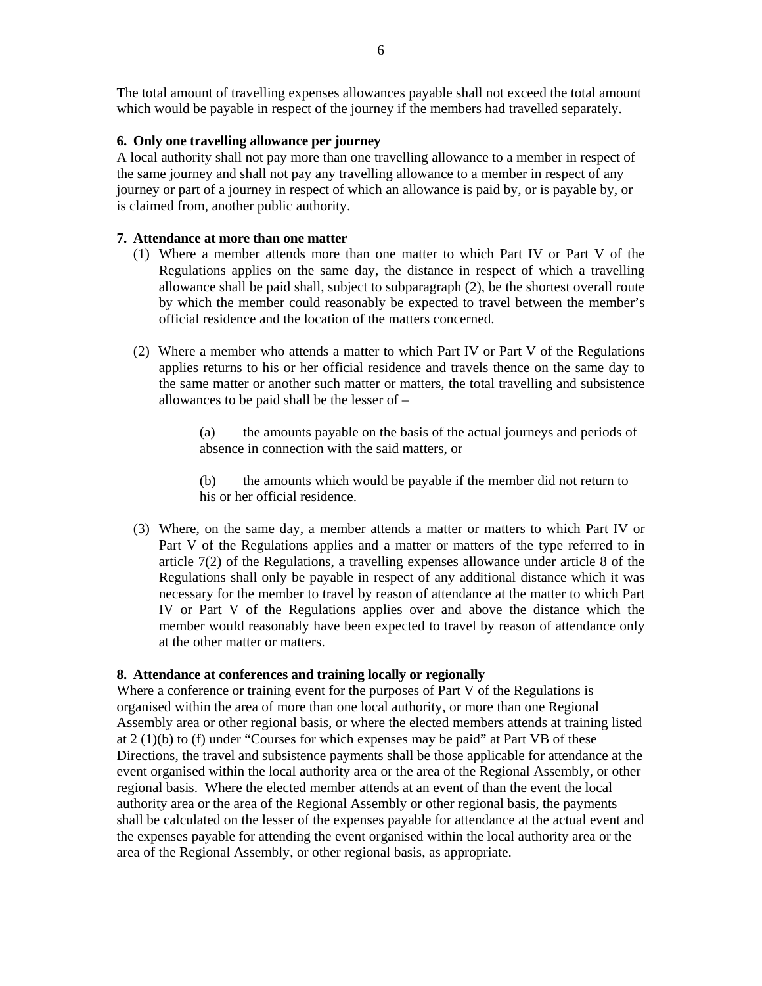The total amount of travelling expenses allowances payable shall not exceed the total amount which would be payable in respect of the journey if the members had travelled separately.

### **6. Only one travelling allowance per journey**

A local authority shall not pay more than one travelling allowance to a member in respect of the same journey and shall not pay any travelling allowance to a member in respect of any journey or part of a journey in respect of which an allowance is paid by, or is payable by, or is claimed from, another public authority.

## **7. Attendance at more than one matter**

- (1) Where a member attends more than one matter to which Part IV or Part V of the Regulations applies on the same day, the distance in respect of which a travelling allowance shall be paid shall, subject to subparagraph (2), be the shortest overall route by which the member could reasonably be expected to travel between the member's official residence and the location of the matters concerned.
- (2) Where a member who attends a matter to which Part IV or Part V of the Regulations applies returns to his or her official residence and travels thence on the same day to the same matter or another such matter or matters, the total travelling and subsistence allowances to be paid shall be the lesser of –

 (a) the amounts payable on the basis of the actual journeys and periods of absence in connection with the said matters, or

 (b) the amounts which would be payable if the member did not return to his or her official residence.

(3) Where, on the same day, a member attends a matter or matters to which Part IV or Part V of the Regulations applies and a matter or matters of the type referred to in article 7(2) of the Regulations, a travelling expenses allowance under article 8 of the Regulations shall only be payable in respect of any additional distance which it was necessary for the member to travel by reason of attendance at the matter to which Part IV or Part V of the Regulations applies over and above the distance which the member would reasonably have been expected to travel by reason of attendance only at the other matter or matters.

# **8. Attendance at conferences and training locally or regionally**

Where a conference or training event for the purposes of Part V of the Regulations is organised within the area of more than one local authority, or more than one Regional Assembly area or other regional basis, or where the elected members attends at training listed at 2 (1)(b) to (f) under "Courses for which expenses may be paid" at Part VB of these Directions, the travel and subsistence payments shall be those applicable for attendance at the event organised within the local authority area or the area of the Regional Assembly, or other regional basis. Where the elected member attends at an event of than the event the local authority area or the area of the Regional Assembly or other regional basis, the payments shall be calculated on the lesser of the expenses payable for attendance at the actual event and the expenses payable for attending the event organised within the local authority area or the area of the Regional Assembly, or other regional basis, as appropriate.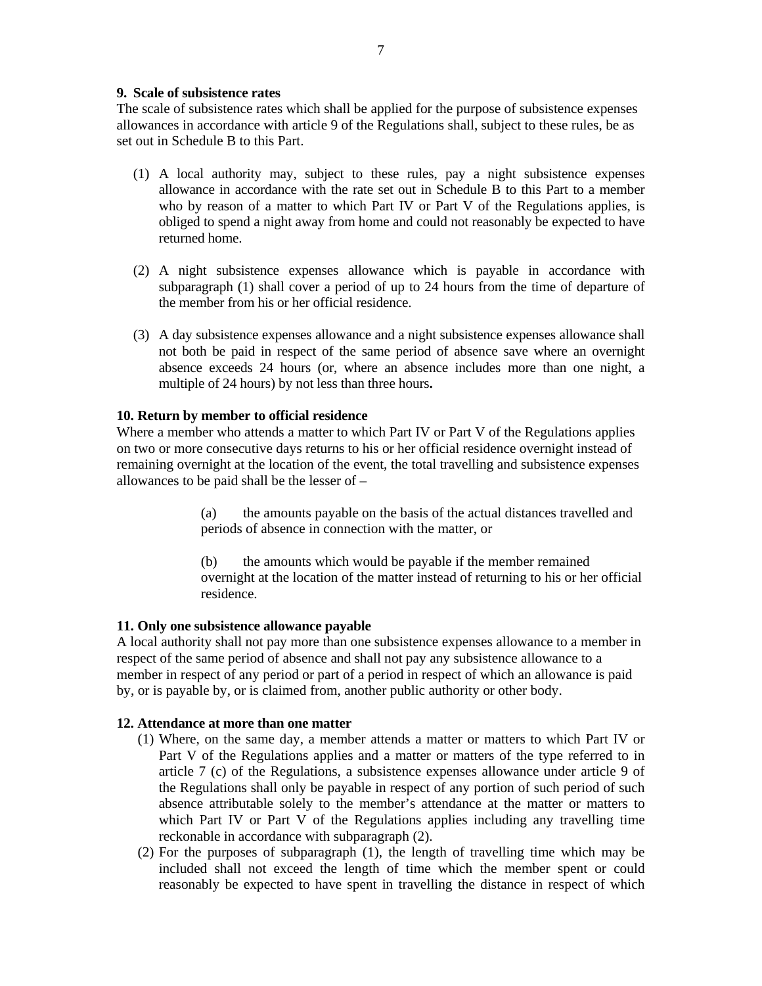The scale of subsistence rates which shall be applied for the purpose of subsistence expenses allowances in accordance with article 9 of the Regulations shall, subject to these rules, be as set out in Schedule B to this Part.

- (1) A local authority may, subject to these rules, pay a night subsistence expenses allowance in accordance with the rate set out in Schedule B to this Part to a member who by reason of a matter to which Part IV or Part V of the Regulations applies, is obliged to spend a night away from home and could not reasonably be expected to have returned home.
- (2) A night subsistence expenses allowance which is payable in accordance with subparagraph (1) shall cover a period of up to 24 hours from the time of departure of the member from his or her official residence.
- (3) A day subsistence expenses allowance and a night subsistence expenses allowance shall not both be paid in respect of the same period of absence save where an overnight absence exceeds 24 hours (or, where an absence includes more than one night, a multiple of 24 hours) by not less than three hours**.**

### **10. Return by member to official residence**

Where a member who attends a matter to which Part IV or Part V of the Regulations applies on two or more consecutive days returns to his or her official residence overnight instead of remaining overnight at the location of the event, the total travelling and subsistence expenses allowances to be paid shall be the lesser of –

> (a) the amounts payable on the basis of the actual distances travelled and periods of absence in connection with the matter, or

 (b) the amounts which would be payable if the member remained overnight at the location of the matter instead of returning to his or her official residence.

### **11. Only one subsistence allowance payable**

A local authority shall not pay more than one subsistence expenses allowance to a member in respect of the same period of absence and shall not pay any subsistence allowance to a member in respect of any period or part of a period in respect of which an allowance is paid by, or is payable by, or is claimed from, another public authority or other body.

### **12. Attendance at more than one matter**

- (1) Where, on the same day, a member attends a matter or matters to which Part IV or Part V of the Regulations applies and a matter or matters of the type referred to in article 7 (c) of the Regulations, a subsistence expenses allowance under article 9 of the Regulations shall only be payable in respect of any portion of such period of such absence attributable solely to the member's attendance at the matter or matters to which Part IV or Part V of the Regulations applies including any travelling time reckonable in accordance with subparagraph (2).
- (2) For the purposes of subparagraph (1), the length of travelling time which may be included shall not exceed the length of time which the member spent or could reasonably be expected to have spent in travelling the distance in respect of which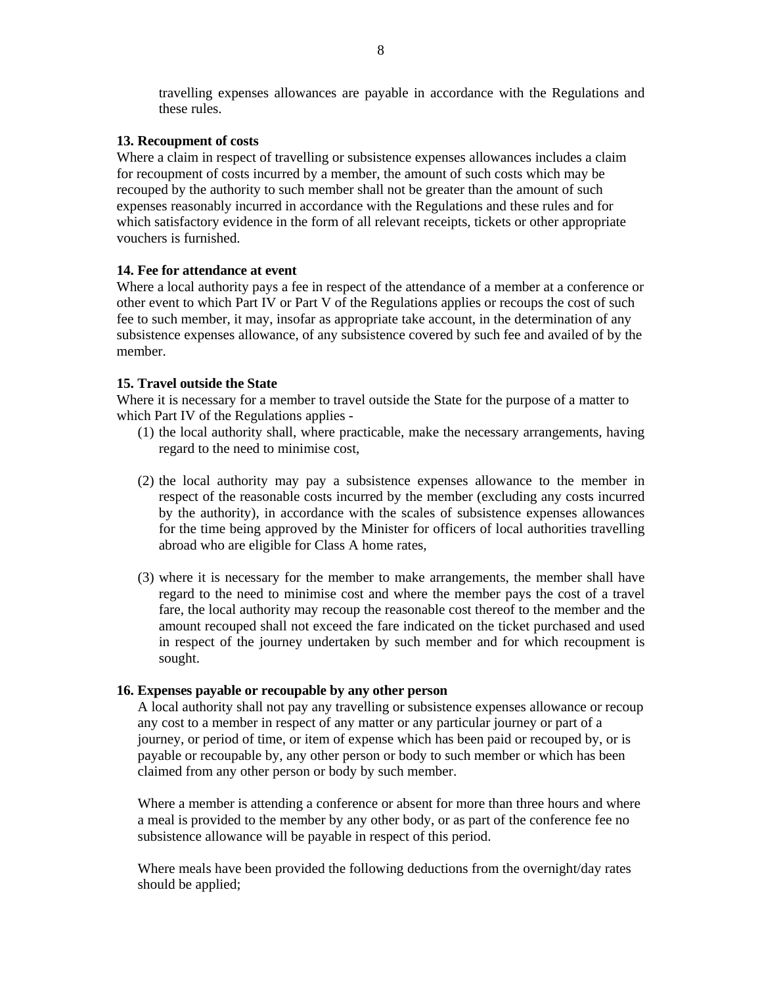travelling expenses allowances are payable in accordance with the Regulations and these rules.

### **13. Recoupment of costs**

Where a claim in respect of travelling or subsistence expenses allowances includes a claim for recoupment of costs incurred by a member, the amount of such costs which may be recouped by the authority to such member shall not be greater than the amount of such expenses reasonably incurred in accordance with the Regulations and these rules and for which satisfactory evidence in the form of all relevant receipts, tickets or other appropriate vouchers is furnished.

### **14. Fee for attendance at event**

Where a local authority pays a fee in respect of the attendance of a member at a conference or other event to which Part IV or Part V of the Regulations applies or recoups the cost of such fee to such member, it may, insofar as appropriate take account, in the determination of any subsistence expenses allowance, of any subsistence covered by such fee and availed of by the member.

### **15. Travel outside the State**

Where it is necessary for a member to travel outside the State for the purpose of a matter to which Part IV of the Regulations applies -

- (1) the local authority shall, where practicable, make the necessary arrangements, having regard to the need to minimise cost,
- (2) the local authority may pay a subsistence expenses allowance to the member in respect of the reasonable costs incurred by the member (excluding any costs incurred by the authority), in accordance with the scales of subsistence expenses allowances for the time being approved by the Minister for officers of local authorities travelling abroad who are eligible for Class A home rates,
- (3) where it is necessary for the member to make arrangements, the member shall have regard to the need to minimise cost and where the member pays the cost of a travel fare, the local authority may recoup the reasonable cost thereof to the member and the amount recouped shall not exceed the fare indicated on the ticket purchased and used in respect of the journey undertaken by such member and for which recoupment is sought.

#### **16. Expenses payable or recoupable by any other person**

A local authority shall not pay any travelling or subsistence expenses allowance or recoup any cost to a member in respect of any matter or any particular journey or part of a journey, or period of time, or item of expense which has been paid or recouped by, or is payable or recoupable by, any other person or body to such member or which has been claimed from any other person or body by such member.

Where a member is attending a conference or absent for more than three hours and where a meal is provided to the member by any other body, or as part of the conference fee no subsistence allowance will be payable in respect of this period.

Where meals have been provided the following deductions from the overnight/day rates should be applied;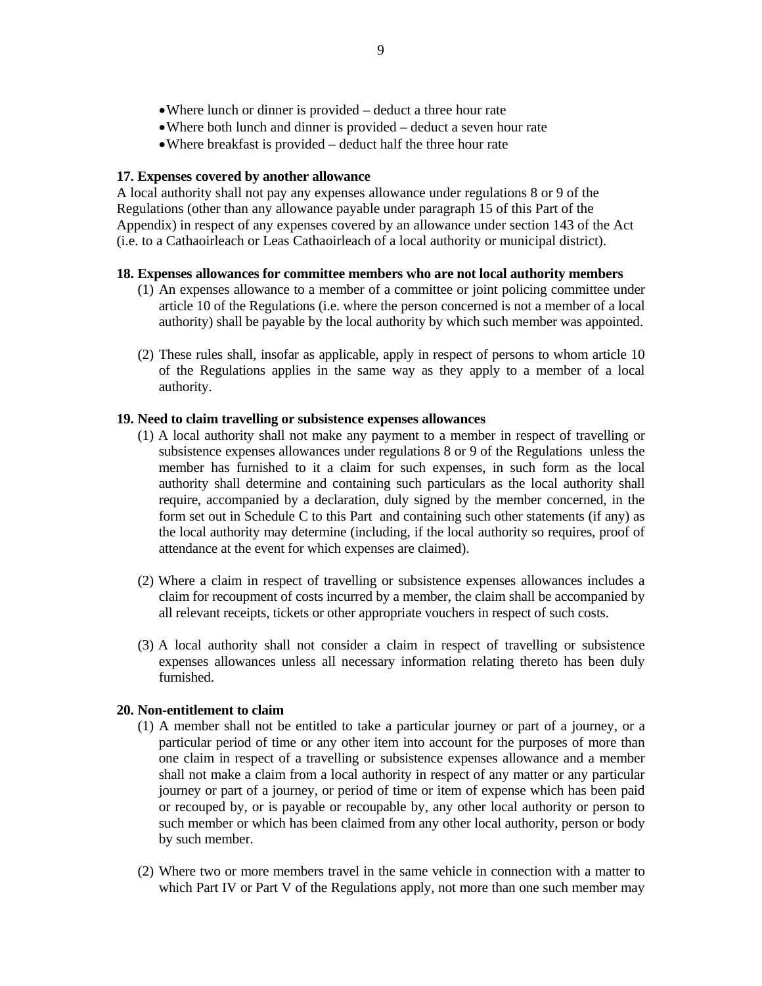- Where lunch or dinner is provided deduct a three hour rate
- Where both lunch and dinner is provided deduct a seven hour rate
- Where breakfast is provided deduct half the three hour rate

#### **17. Expenses covered by another allowance**

A local authority shall not pay any expenses allowance under regulations 8 or 9 of the Regulations (other than any allowance payable under paragraph 15 of this Part of the Appendix) in respect of any expenses covered by an allowance under section 143 of the Act (i.e. to a Cathaoirleach or Leas Cathaoirleach of a local authority or municipal district).

### **18. Expenses allowances for committee members who are not local authority members**

- (1) An expenses allowance to a member of a committee or joint policing committee under article 10 of the Regulations (i.e. where the person concerned is not a member of a local authority) shall be payable by the local authority by which such member was appointed.
- (2) These rules shall, insofar as applicable, apply in respect of persons to whom article 10 of the Regulations applies in the same way as they apply to a member of a local authority.

### **19. Need to claim travelling or subsistence expenses allowances**

- (1) A local authority shall not make any payment to a member in respect of travelling or subsistence expenses allowances under regulations 8 or 9 of the Regulations unless the member has furnished to it a claim for such expenses, in such form as the local authority shall determine and containing such particulars as the local authority shall require, accompanied by a declaration, duly signed by the member concerned, in the form set out in Schedule C to this Part and containing such other statements (if any) as the local authority may determine (including, if the local authority so requires, proof of attendance at the event for which expenses are claimed).
- (2) Where a claim in respect of travelling or subsistence expenses allowances includes a claim for recoupment of costs incurred by a member, the claim shall be accompanied by all relevant receipts, tickets or other appropriate vouchers in respect of such costs.
- (3) A local authority shall not consider a claim in respect of travelling or subsistence expenses allowances unless all necessary information relating thereto has been duly furnished.

#### **20. Non-entitlement to claim**

- (1) A member shall not be entitled to take a particular journey or part of a journey, or a particular period of time or any other item into account for the purposes of more than one claim in respect of a travelling or subsistence expenses allowance and a member shall not make a claim from a local authority in respect of any matter or any particular journey or part of a journey, or period of time or item of expense which has been paid or recouped by, or is payable or recoupable by, any other local authority or person to such member or which has been claimed from any other local authority, person or body by such member.
- (2) Where two or more members travel in the same vehicle in connection with a matter to which Part IV or Part V of the Regulations apply, not more than one such member may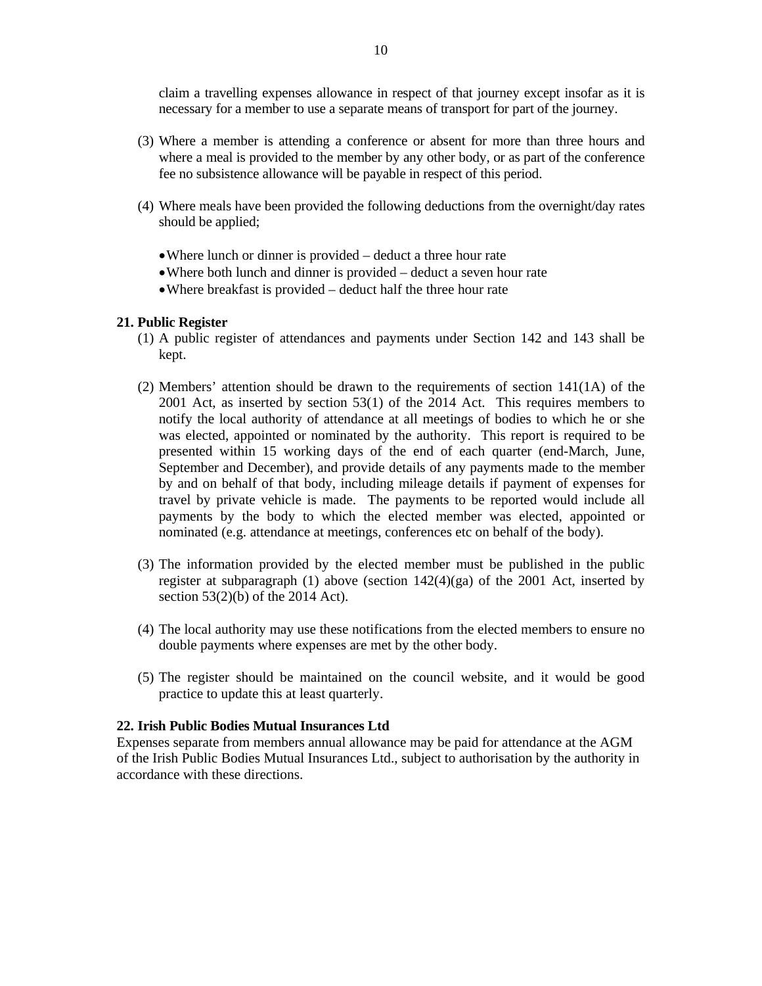claim a travelling expenses allowance in respect of that journey except insofar as it is necessary for a member to use a separate means of transport for part of the journey.

- (3) Where a member is attending a conference or absent for more than three hours and where a meal is provided to the member by any other body, or as part of the conference fee no subsistence allowance will be payable in respect of this period.
- (4) Where meals have been provided the following deductions from the overnight/day rates should be applied;
	- Where lunch or dinner is provided deduct a three hour rate
	- Where both lunch and dinner is provided deduct a seven hour rate
	- Where breakfast is provided deduct half the three hour rate

#### **21. Public Register**

- (1) A public register of attendances and payments under Section 142 and 143 shall be kept.
- (2) Members' attention should be drawn to the requirements of section 141(1A) of the 2001 Act, as inserted by section 53(1) of the 2014 Act. This requires members to notify the local authority of attendance at all meetings of bodies to which he or she was elected, appointed or nominated by the authority. This report is required to be presented within 15 working days of the end of each quarter (end-March, June, September and December), and provide details of any payments made to the member by and on behalf of that body, including mileage details if payment of expenses for travel by private vehicle is made. The payments to be reported would include all payments by the body to which the elected member was elected, appointed or nominated (e.g. attendance at meetings, conferences etc on behalf of the body).
- (3) The information provided by the elected member must be published in the public register at subparagraph (1) above (section 142(4)(ga) of the 2001 Act, inserted by section 53(2)(b) of the 2014 Act).
- (4) The local authority may use these notifications from the elected members to ensure no double payments where expenses are met by the other body.
- (5) The register should be maintained on the council website, and it would be good practice to update this at least quarterly.

#### **22. Irish Public Bodies Mutual Insurances Ltd**

Expenses separate from members annual allowance may be paid for attendance at the AGM of the Irish Public Bodies Mutual Insurances Ltd., subject to authorisation by the authority in accordance with these directions.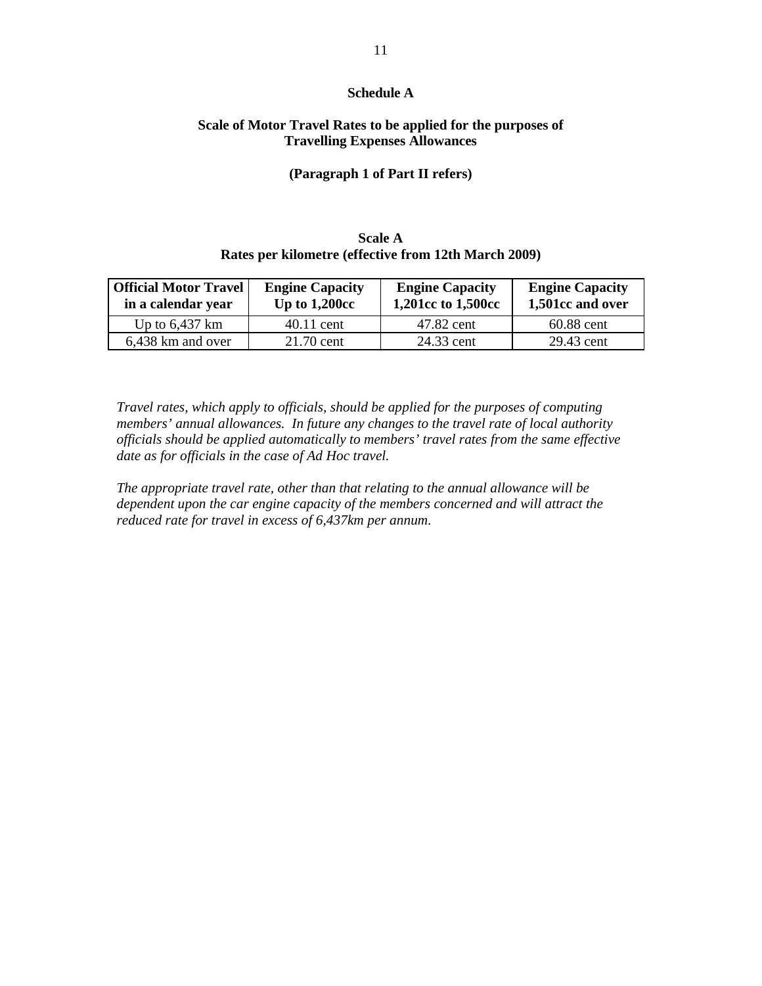### **Schedule A**

### **Scale of Motor Travel Rates to be applied for the purposes of Travelling Expenses Allowances**

### **(Paragraph 1 of Part II refers)**

# **Scale A Rates per kilometre (effective from 12th March 2009)**

| <b>Official Motor Travel</b><br>in a calendar year | <b>Engine Capacity</b><br>Up to $1,200cc$ | <b>Engine Capacity</b><br>1,201cc to 1,500cc | <b>Engine Capacity</b><br>1,501cc and over |
|----------------------------------------------------|-------------------------------------------|----------------------------------------------|--------------------------------------------|
| Up to $6,437$ km                                   | 40.11 cent                                | 47.82 cent                                   | 60.88 cent                                 |
| 6,438 km and over                                  | 21.70 cent                                | 24.33 cent                                   | 29.43 cent                                 |

*Travel rates, which apply to officials, should be applied for the purposes of computing members' annual allowances. In future any changes to the travel rate of local authority officials should be applied automatically to members' travel rates from the same effective date as for officials in the case of Ad Hoc travel.* 

*The appropriate travel rate, other than that relating to the annual allowance will be dependent upon the car engine capacity of the members concerned and will attract the reduced rate for travel in excess of 6,437km per annum.*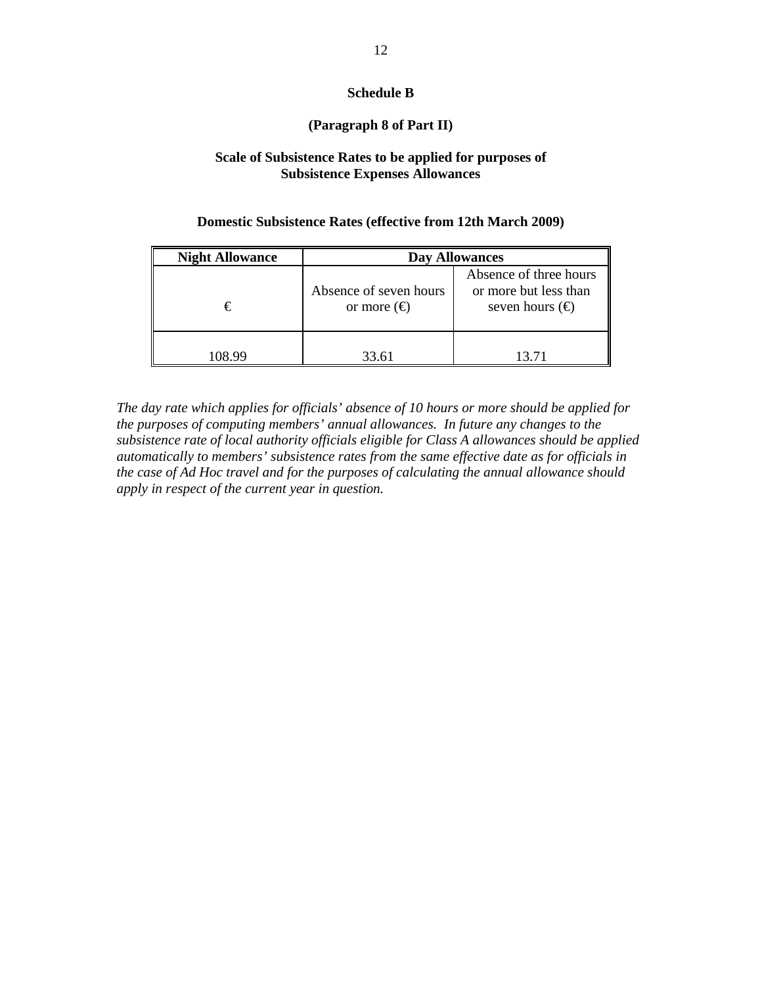### **Schedule B**

### **(Paragraph 8 of Part II)**

### **Scale of Subsistence Rates to be applied for purposes of Subsistence Expenses Allowances**

### **Domestic Subsistence Rates (effective from 12th March 2009)**

| <b>Night Allowance</b> | <b>Day Allowances</b>                        |                                                                             |  |
|------------------------|----------------------------------------------|-----------------------------------------------------------------------------|--|
| €                      | Absence of seven hours<br>or more $(\oplus)$ | Absence of three hours<br>or more but less than<br>seven hours $(\epsilon)$ |  |
| 108 99                 | 33.61                                        | 13 71                                                                       |  |

*The day rate which applies for officials' absence of 10 hours or more should be applied for the purposes of computing members' annual allowances. In future any changes to the subsistence rate of local authority officials eligible for Class A allowances should be applied automatically to members' subsistence rates from the same effective date as for officials in the case of Ad Hoc travel and for the purposes of calculating the annual allowance should apply in respect of the current year in question.*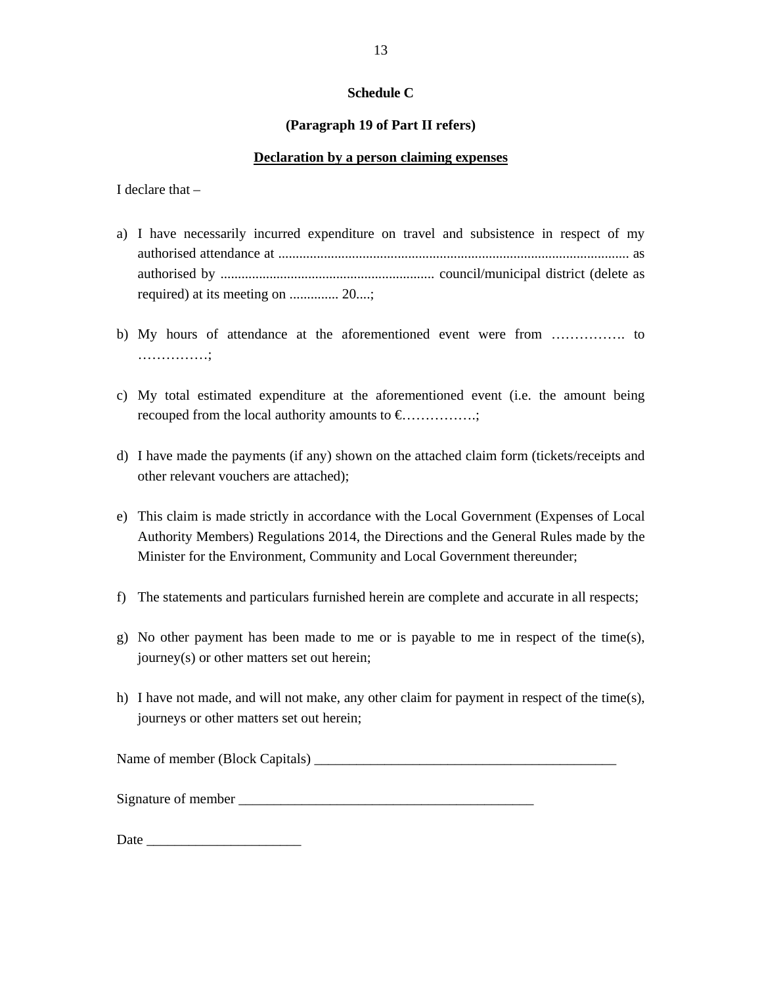### **Schedule C**

### **(Paragraph 19 of Part II refers)**

### **Declaration by a person claiming expenses**

I declare that –

- a) I have necessarily incurred expenditure on travel and subsistence in respect of my authorised attendance at .................................................................................................... as authorised by ............................................................. council/municipal district (delete as required) at its meeting on .............. 20....;
- b) My hours of attendance at the aforementioned event were from ……………. to ……………;
- c) My total estimated expenditure at the aforementioned event (i.e. the amount being recouped from the local authority amounts to  $\epsilon$ ................;
- d) I have made the payments (if any) shown on the attached claim form (tickets/receipts and other relevant vouchers are attached);
- e) This claim is made strictly in accordance with the Local Government (Expenses of Local Authority Members) Regulations 2014, the Directions and the General Rules made by the Minister for the Environment, Community and Local Government thereunder;
- f) The statements and particulars furnished herein are complete and accurate in all respects;
- g) No other payment has been made to me or is payable to me in respect of the time(s), journey(s) or other matters set out herein;
- h) I have not made, and will not make, any other claim for payment in respect of the time(s), journeys or other matters set out herein;

Name of member (Block Capitals)

Signature of member \_\_\_\_\_\_\_\_\_\_\_\_\_\_\_\_\_\_\_\_\_\_\_\_\_\_\_\_\_\_\_\_\_\_\_\_\_\_\_\_\_\_

Date \_\_\_\_\_\_\_\_\_\_\_\_\_\_\_\_\_\_\_\_\_\_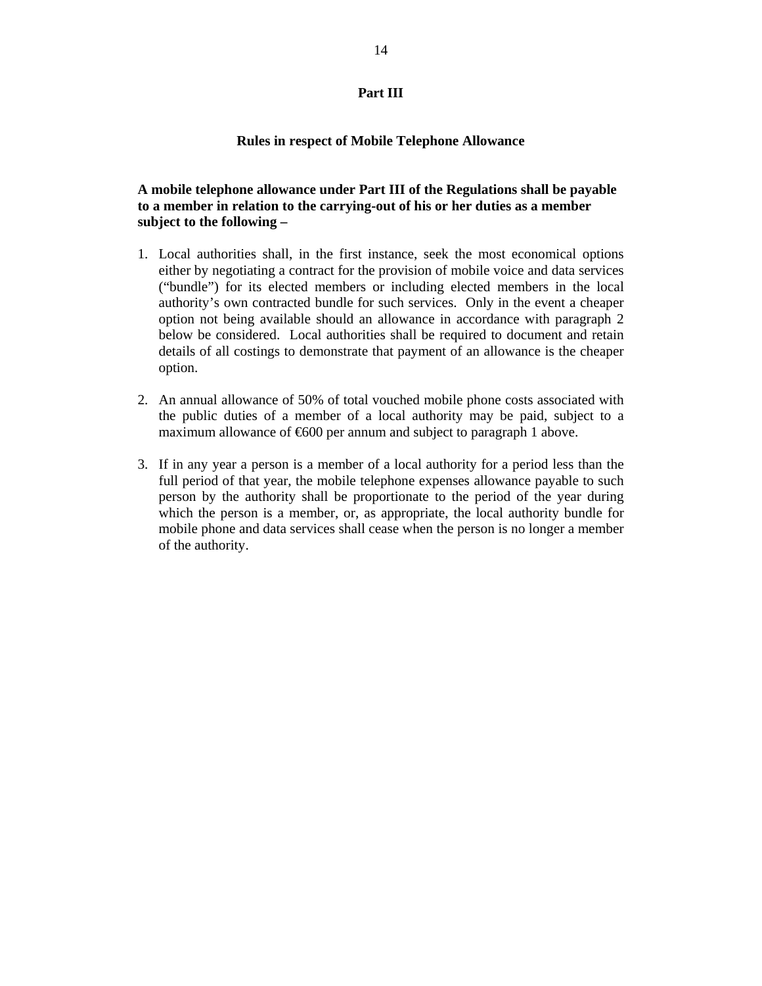### **Part III**

#### **Rules in respect of Mobile Telephone Allowance**

## **A mobile telephone allowance under Part III of the Regulations shall be payable to a member in relation to the carrying-out of his or her duties as a member subject to the following –**

- 1. Local authorities shall, in the first instance, seek the most economical options either by negotiating a contract for the provision of mobile voice and data services ("bundle") for its elected members or including elected members in the local authority's own contracted bundle for such services. Only in the event a cheaper option not being available should an allowance in accordance with paragraph 2 below be considered. Local authorities shall be required to document and retain details of all costings to demonstrate that payment of an allowance is the cheaper option.
- 2. An annual allowance of 50% of total vouched mobile phone costs associated with the public duties of a member of a local authority may be paid, subject to a maximum allowance of  $600$  per annum and subject to paragraph 1 above.
- 3. If in any year a person is a member of a local authority for a period less than the full period of that year, the mobile telephone expenses allowance payable to such person by the authority shall be proportionate to the period of the year during which the person is a member, or, as appropriate, the local authority bundle for mobile phone and data services shall cease when the person is no longer a member of the authority.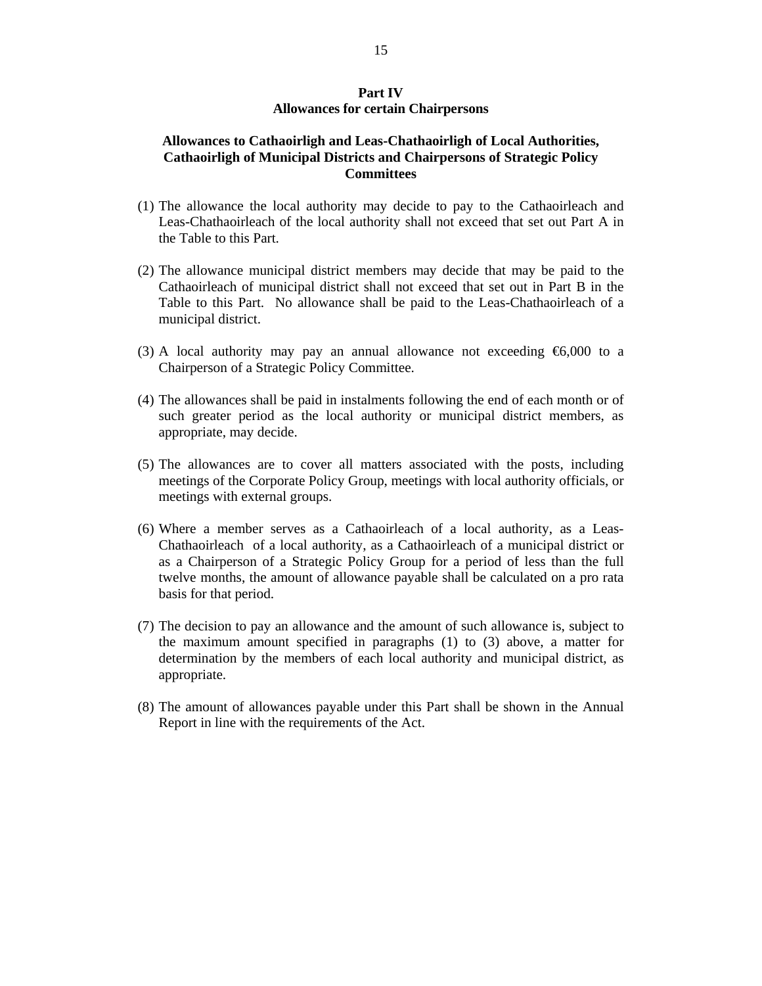### **Part IV Allowances for certain Chairpersons**

### **Allowances to Cathaoirligh and Leas-Chathaoirligh of Local Authorities, Cathaoirligh of Municipal Districts and Chairpersons of Strategic Policy Committees**

- (1) The allowance the local authority may decide to pay to the Cathaoirleach and Leas-Chathaoirleach of the local authority shall not exceed that set out Part A in the Table to this Part.
- (2) The allowance municipal district members may decide that may be paid to the Cathaoirleach of municipal district shall not exceed that set out in Part B in the Table to this Part. No allowance shall be paid to the Leas-Chathaoirleach of a municipal district.
- (3) A local authority may pay an annual allowance not exceeding  $\epsilon$ 6,000 to a Chairperson of a Strategic Policy Committee.
- (4) The allowances shall be paid in instalments following the end of each month or of such greater period as the local authority or municipal district members, as appropriate, may decide.
- (5) The allowances are to cover all matters associated with the posts, including meetings of the Corporate Policy Group, meetings with local authority officials, or meetings with external groups.
- (6) Where a member serves as a Cathaoirleach of a local authority, as a Leas-Chathaoirleach of a local authority, as a Cathaoirleach of a municipal district or as a Chairperson of a Strategic Policy Group for a period of less than the full twelve months, the amount of allowance payable shall be calculated on a pro rata basis for that period.
- (7) The decision to pay an allowance and the amount of such allowance is, subject to the maximum amount specified in paragraphs (1) to (3) above, a matter for determination by the members of each local authority and municipal district, as appropriate.
- (8) The amount of allowances payable under this Part shall be shown in the Annual Report in line with the requirements of the Act.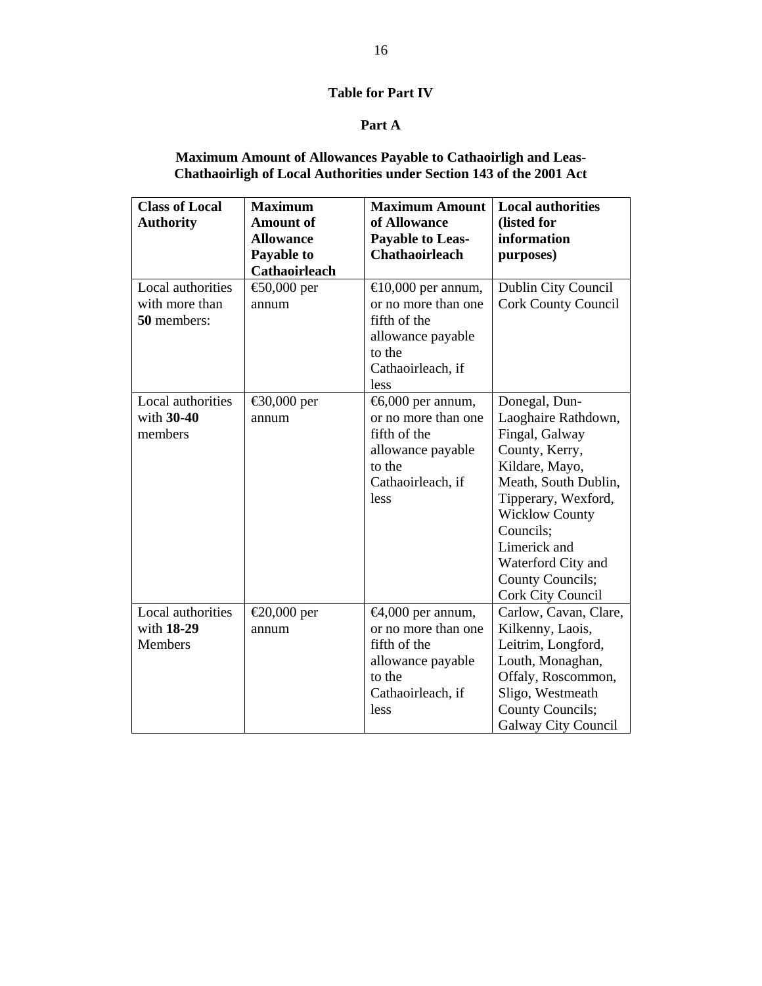# **Table for Part IV**

# **Part A**

### **Maximum Amount of Allowances Payable to Cathaoirligh and Leas-Chathaoirligh of Local Authorities under Section 143 of the 2001 Act**

| <b>Class of Local</b>                              | <b>Maximum</b>                       | <b>Maximum Amount</b>                                                                                                                   | <b>Local authorities</b>                                                                                                                                                                                                                                              |
|----------------------------------------------------|--------------------------------------|-----------------------------------------------------------------------------------------------------------------------------------------|-----------------------------------------------------------------------------------------------------------------------------------------------------------------------------------------------------------------------------------------------------------------------|
| <b>Authority</b>                                   | <b>Amount of</b><br><b>Allowance</b> | of Allowance                                                                                                                            | (listed for<br>information                                                                                                                                                                                                                                            |
|                                                    | Payable to                           | <b>Payable to Leas-</b><br><b>Chathaoirleach</b>                                                                                        | purposes)                                                                                                                                                                                                                                                             |
|                                                    | Cathaoirleach                        |                                                                                                                                         |                                                                                                                                                                                                                                                                       |
| Local authorities<br>with more than<br>50 members: | € $0,000$ per<br>annum               | $\bigoplus$ 0,000 per annum,<br>or no more than one<br>fifth of the<br>allowance payable<br>to the<br>Cathaoirleach, if<br>less         | Dublin City Council<br><b>Cork County Council</b>                                                                                                                                                                                                                     |
| Local authorities<br>with $30-40$<br>members       | €30,000 per<br>annum                 | $\text{\textsterling}000$ per annum,<br>or no more than one<br>fifth of the<br>allowance payable<br>to the<br>Cathaoirleach, if<br>less | Donegal, Dun-<br>Laoghaire Rathdown,<br>Fingal, Galway<br>County, Kerry,<br>Kildare, Mayo,<br>Meath, South Dublin,<br>Tipperary, Wexford,<br><b>Wicklow County</b><br>Councils;<br>Limerick and<br>Waterford City and<br><b>County Councils;</b><br>Cork City Council |
| Local authorities<br>with 18-29<br>Members         | €20,000 per<br>annum                 | $\bigoplus$ ,000 per annum,<br>or no more than one<br>fifth of the<br>allowance payable<br>to the<br>Cathaoirleach, if<br>less          | Carlow, Cavan, Clare,<br>Kilkenny, Laois,<br>Leitrim, Longford,<br>Louth, Monaghan,<br>Offaly, Roscommon,<br>Sligo, Westmeath<br>County Councils;<br><b>Galway City Council</b>                                                                                       |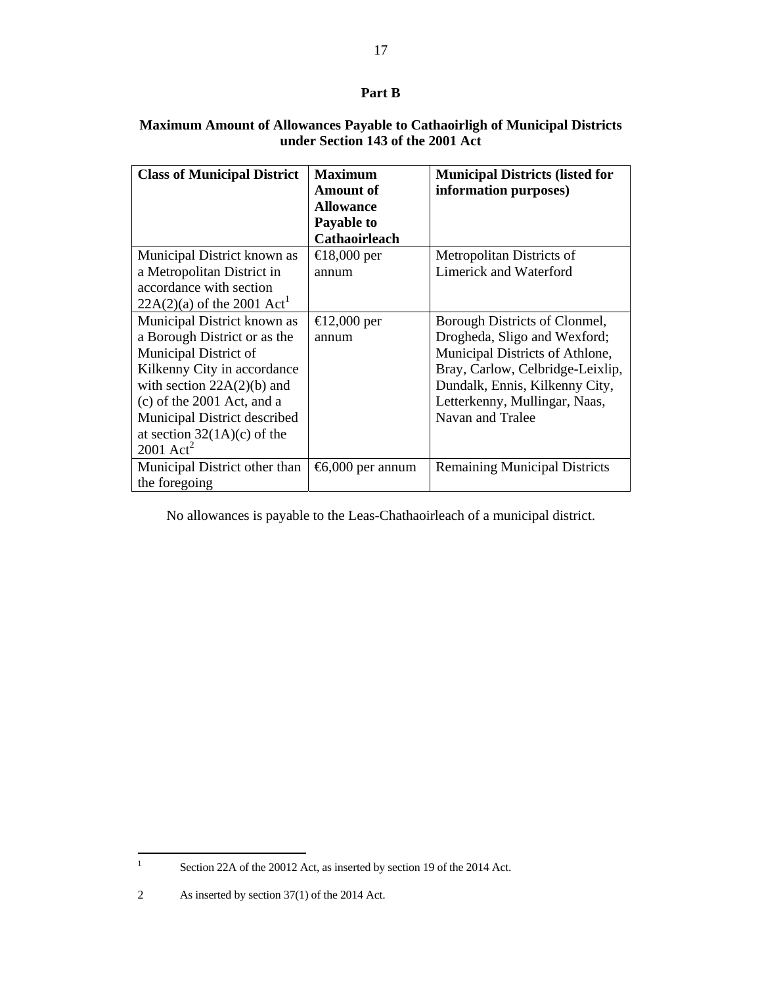# **Part B**

# **Maximum Amount of Allowances Payable to Cathaoirligh of Municipal Districts under Section 143 of the 2001 Act**

| <b>Class of Municipal District</b>                                                                                                                                                                                                                                              | <b>Maximum</b><br><b>Amount of</b><br><b>Allowance</b><br>Payable to<br><b>Cathaoirleach</b> | <b>Municipal Districts (listed for</b><br>information purposes)                                                                                                                                                             |
|---------------------------------------------------------------------------------------------------------------------------------------------------------------------------------------------------------------------------------------------------------------------------------|----------------------------------------------------------------------------------------------|-----------------------------------------------------------------------------------------------------------------------------------------------------------------------------------------------------------------------------|
| Municipal District known as<br>a Metropolitan District in<br>accordance with section<br>$22A(2)(a)$ of the 2001 Act <sup>1</sup>                                                                                                                                                | $\bigoplus$ 8,000 per<br>annum                                                               | Metropolitan Districts of<br><b>Limerick and Waterford</b>                                                                                                                                                                  |
| Municipal District known as<br>a Borough District or as the<br>Municipal District of<br>Kilkenny City in accordance<br>with section $22A(2)(b)$ and<br>$(c)$ of the 2001 Act, and a<br>Municipal District described<br>at section $32(1A)(c)$ of the<br>$2001$ Act <sup>2</sup> | $\bigoplus 2,000$ per<br>annum                                                               | Borough Districts of Clonmel,<br>Drogheda, Sligo and Wexford;<br>Municipal Districts of Athlone,<br>Bray, Carlow, Celbridge-Leixlip,<br>Dundalk, Ennis, Kilkenny City,<br>Letterkenny, Mullingar, Naas,<br>Navan and Tralee |
| Municipal District other than<br>the foregoing                                                                                                                                                                                                                                  | $\text{6,000}$ per annum                                                                     | <b>Remaining Municipal Districts</b>                                                                                                                                                                                        |

No allowances is payable to the Leas-Chathaoirleach of a municipal district.

 $\frac{1}{1}$ 

Section 22A of the 20012 Act, as inserted by section 19 of the 2014 Act.

<sup>2</sup> As inserted by section 37(1) of the 2014 Act.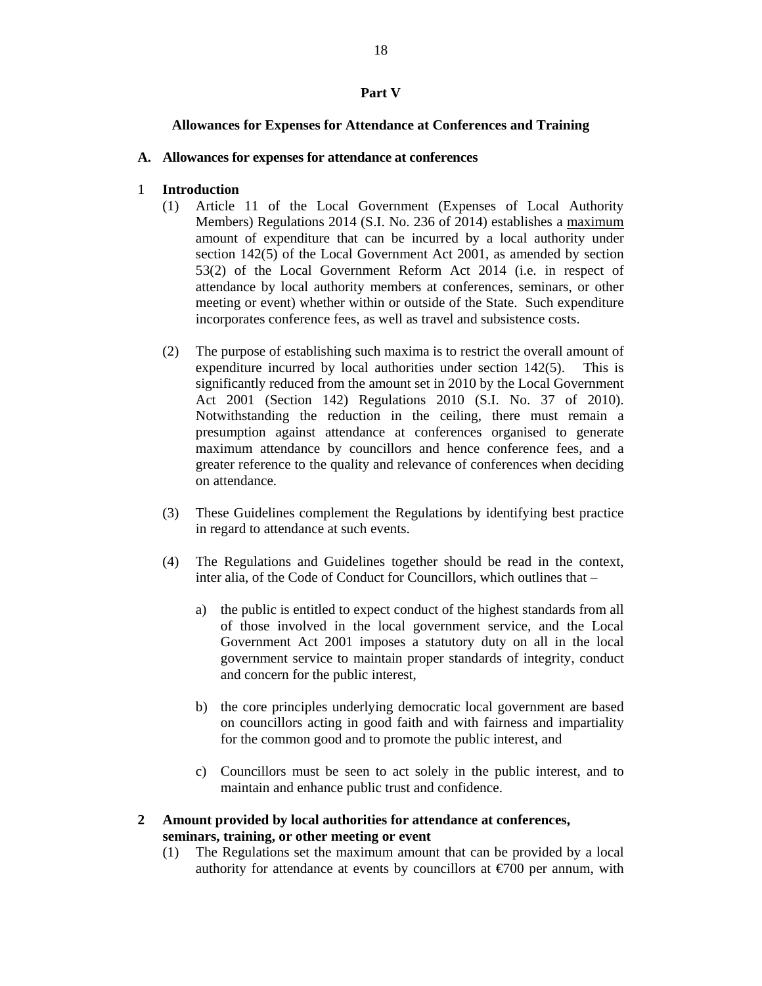### **Part V**

### **Allowances for Expenses for Attendance at Conferences and Training**

### **A. Allowances for expenses for attendance at conferences**

### 1 **Introduction**

- (1) Article 11 of the Local Government (Expenses of Local Authority Members) Regulations 2014 (S.I. No. 236 of 2014) establishes a maximum amount of expenditure that can be incurred by a local authority under section 142(5) of the Local Government Act 2001, as amended by section 53(2) of the Local Government Reform Act 2014 (i.e. in respect of attendance by local authority members at conferences, seminars, or other meeting or event) whether within or outside of the State. Such expenditure incorporates conference fees, as well as travel and subsistence costs.
- (2) The purpose of establishing such maxima is to restrict the overall amount of expenditure incurred by local authorities under section 142(5). This is significantly reduced from the amount set in 2010 by the Local Government Act 2001 (Section 142) Regulations 2010 (S.I. No. 37 of 2010). Notwithstanding the reduction in the ceiling, there must remain a presumption against attendance at conferences organised to generate maximum attendance by councillors and hence conference fees, and a greater reference to the quality and relevance of conferences when deciding on attendance.
- (3) These Guidelines complement the Regulations by identifying best practice in regard to attendance at such events.
- (4) The Regulations and Guidelines together should be read in the context, inter alia, of the Code of Conduct for Councillors, which outlines that –
	- a) the public is entitled to expect conduct of the highest standards from all of those involved in the local government service, and the Local Government Act 2001 imposes a statutory duty on all in the local government service to maintain proper standards of integrity, conduct and concern for the public interest,
	- b) the core principles underlying democratic local government are based on councillors acting in good faith and with fairness and impartiality for the common good and to promote the public interest, and
	- c) Councillors must be seen to act solely in the public interest, and to maintain and enhance public trust and confidence.
- **2 Amount provided by local authorities for attendance at conferences, seminars, training, or other meeting or event** 
	- (1) The Regulations set the maximum amount that can be provided by a local authority for attendance at events by councillors at  $\epsilon$ 700 per annum, with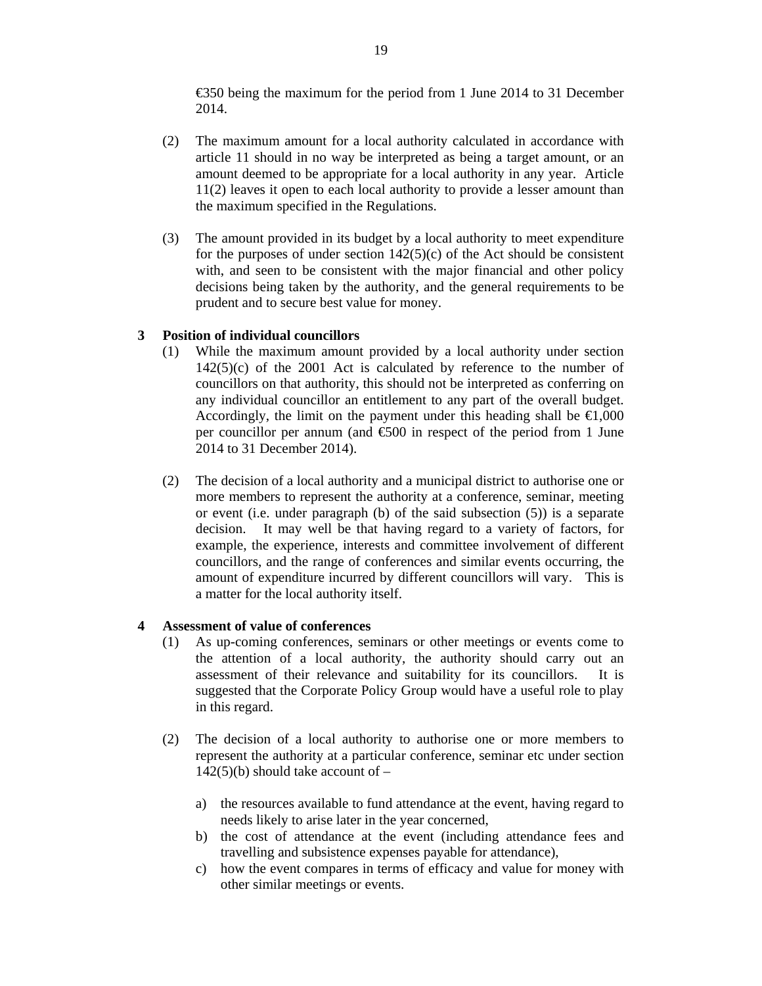€350 being the maximum for the period from 1 June 2014 to 31 December 2014.

- (2) The maximum amount for a local authority calculated in accordance with article 11 should in no way be interpreted as being a target amount, or an amount deemed to be appropriate for a local authority in any year. Article 11(2) leaves it open to each local authority to provide a lesser amount than the maximum specified in the Regulations.
- (3) The amount provided in its budget by a local authority to meet expenditure for the purposes of under section  $142(5)(c)$  of the Act should be consistent with, and seen to be consistent with the major financial and other policy decisions being taken by the authority, and the general requirements to be prudent and to secure best value for money.

## **3 Position of individual councillors**

- (1) While the maximum amount provided by a local authority under section  $142(5)(c)$  of the 2001 Act is calculated by reference to the number of councillors on that authority, this should not be interpreted as conferring on any individual councillor an entitlement to any part of the overall budget. Accordingly, the limit on the payment under this heading shall be  $\epsilon 1,000$ per councillor per annum (and  $\epsilon$ 500 in respect of the period from 1 June 2014 to 31 December 2014).
- (2) The decision of a local authority and a municipal district to authorise one or more members to represent the authority at a conference, seminar, meeting or event (i.e. under paragraph (b) of the said subsection (5)) is a separate decision. It may well be that having regard to a variety of factors, for example, the experience, interests and committee involvement of different councillors, and the range of conferences and similar events occurring, the amount of expenditure incurred by different councillors will vary. This is a matter for the local authority itself.

### **4 Assessment of value of conferences**

- (1) As up-coming conferences, seminars or other meetings or events come to the attention of a local authority, the authority should carry out an assessment of their relevance and suitability for its councillors. It is suggested that the Corporate Policy Group would have a useful role to play in this regard.
- (2) The decision of a local authority to authorise one or more members to represent the authority at a particular conference, seminar etc under section  $142(5)(b)$  should take account of –
	- a) the resources available to fund attendance at the event, having regard to needs likely to arise later in the year concerned,
	- b) the cost of attendance at the event (including attendance fees and travelling and subsistence expenses payable for attendance),
	- c) how the event compares in terms of efficacy and value for money with other similar meetings or events.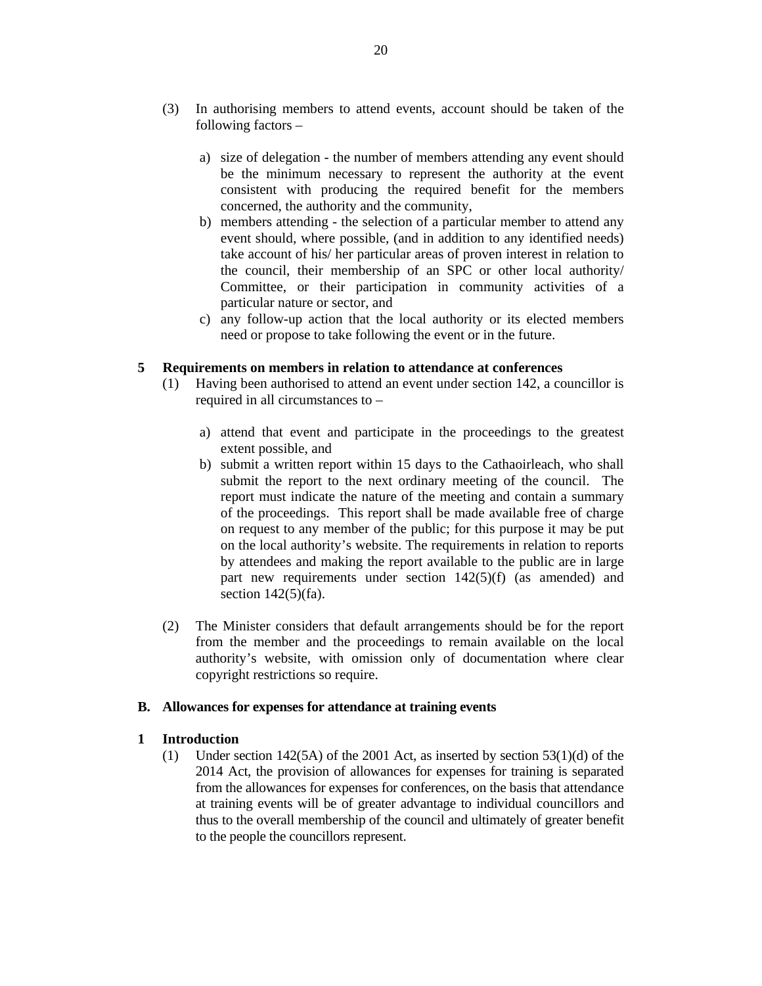- (3) In authorising members to attend events, account should be taken of the following factors –
	- a) size of delegation the number of members attending any event should be the minimum necessary to represent the authority at the event consistent with producing the required benefit for the members concerned, the authority and the community,
	- b) members attending the selection of a particular member to attend any event should, where possible, (and in addition to any identified needs) take account of his/ her particular areas of proven interest in relation to the council, their membership of an SPC or other local authority/ Committee, or their participation in community activities of a particular nature or sector, and
	- c) any follow-up action that the local authority or its elected members need or propose to take following the event or in the future.

#### **5 Requirements on members in relation to attendance at conferences**

- (1) Having been authorised to attend an event under section 142, a councillor is required in all circumstances to –
	- a) attend that event and participate in the proceedings to the greatest extent possible, and
	- b) submit a written report within 15 days to the Cathaoirleach, who shall submit the report to the next ordinary meeting of the council. The report must indicate the nature of the meeting and contain a summary of the proceedings. This report shall be made available free of charge on request to any member of the public; for this purpose it may be put on the local authority's website. The requirements in relation to reports by attendees and making the report available to the public are in large part new requirements under section 142(5)(f) (as amended) and section 142(5)(fa).
- (2) The Minister considers that default arrangements should be for the report from the member and the proceedings to remain available on the local authority's website, with omission only of documentation where clear copyright restrictions so require.

#### **B. Allowances for expenses for attendance at training events**

#### **1 Introduction**

(1) Under section 142(5A) of the 2001 Act, as inserted by section 53(1)(d) of the 2014 Act, the provision of allowances for expenses for training is separated from the allowances for expenses for conferences, on the basis that attendance at training events will be of greater advantage to individual councillors and thus to the overall membership of the council and ultimately of greater benefit to the people the councillors represent.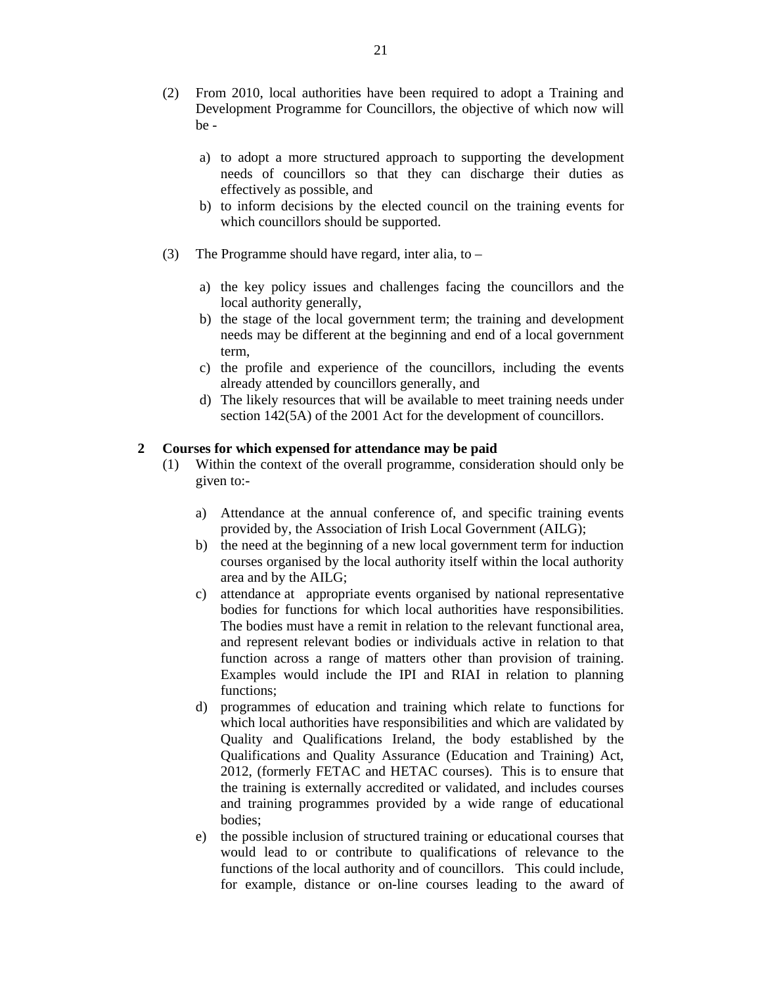- (2) From 2010, local authorities have been required to adopt a Training and Development Programme for Councillors, the objective of which now will be
	- a) to adopt a more structured approach to supporting the development needs of councillors so that they can discharge their duties as effectively as possible, and
	- b) to inform decisions by the elected council on the training events for which councillors should be supported.
- (3) The Programme should have regard, inter alia, to
	- a) the key policy issues and challenges facing the councillors and the local authority generally,
	- b) the stage of the local government term; the training and development needs may be different at the beginning and end of a local government term,
	- c) the profile and experience of the councillors, including the events already attended by councillors generally, and
	- d) The likely resources that will be available to meet training needs under section 142(5A) of the 2001 Act for the development of councillors.

#### **2 Courses for which expensed for attendance may be paid**

- (1) Within the context of the overall programme, consideration should only be given to:
	- a) Attendance at the annual conference of, and specific training events provided by, the Association of Irish Local Government (AILG);
	- b) the need at the beginning of a new local government term for induction courses organised by the local authority itself within the local authority area and by the AILG;
	- c) attendance at appropriate events organised by national representative bodies for functions for which local authorities have responsibilities. The bodies must have a remit in relation to the relevant functional area, and represent relevant bodies or individuals active in relation to that function across a range of matters other than provision of training. Examples would include the IPI and RIAI in relation to planning functions;
	- d) programmes of education and training which relate to functions for which local authorities have responsibilities and which are validated by Quality and Qualifications Ireland, the body established by the Qualifications and Quality Assurance (Education and Training) Act, 2012, (formerly FETAC and HETAC courses). This is to ensure that the training is externally accredited or validated, and includes courses and training programmes provided by a wide range of educational bodies;
	- e) the possible inclusion of structured training or educational courses that would lead to or contribute to qualifications of relevance to the functions of the local authority and of councillors. This could include, for example, distance or on-line courses leading to the award of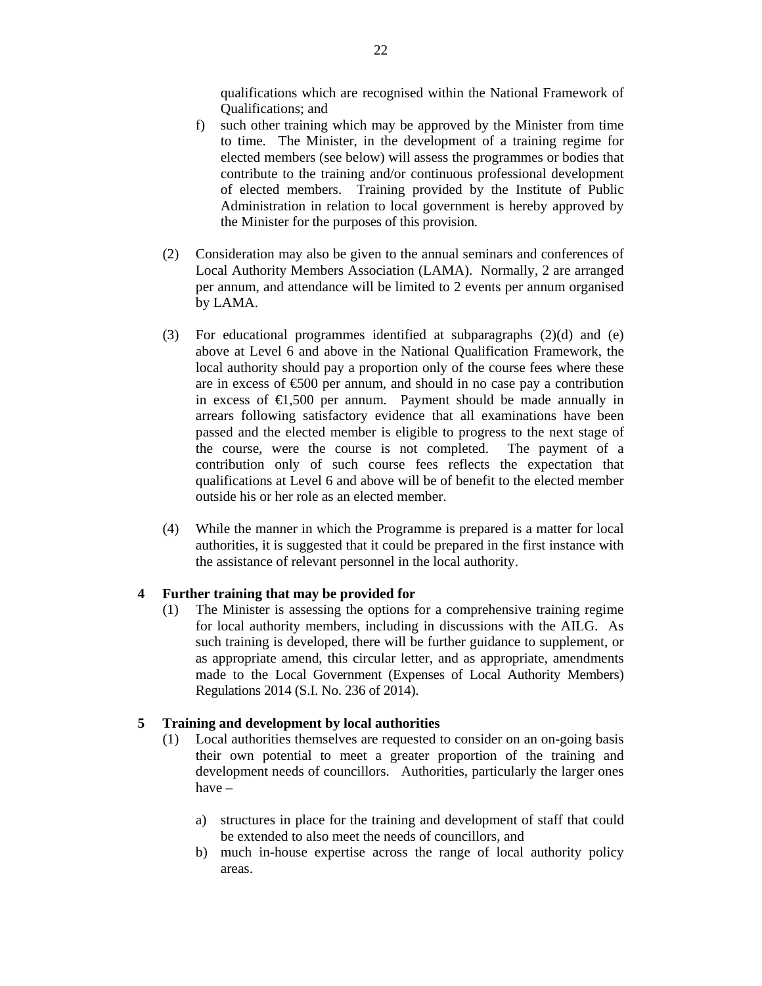qualifications which are recognised within the National Framework of Qualifications; and

- f) such other training which may be approved by the Minister from time to time. The Minister, in the development of a training regime for elected members (see below) will assess the programmes or bodies that contribute to the training and/or continuous professional development of elected members. Training provided by the Institute of Public Administration in relation to local government is hereby approved by the Minister for the purposes of this provision.
- (2) Consideration may also be given to the annual seminars and conferences of Local Authority Members Association (LAMA). Normally, 2 are arranged per annum, and attendance will be limited to 2 events per annum organised by LAMA.
- (3) For educational programmes identified at subparagraphs (2)(d) and (e) above at Level 6 and above in the National Qualification Framework, the local authority should pay a proportion only of the course fees where these are in excess of  $\epsilon$ 500 per annum, and should in no case pay a contribution in excess of  $\epsilon$ 1,500 per annum. Payment should be made annually in arrears following satisfactory evidence that all examinations have been passed and the elected member is eligible to progress to the next stage of the course, were the course is not completed. The payment of a contribution only of such course fees reflects the expectation that qualifications at Level 6 and above will be of benefit to the elected member outside his or her role as an elected member.
- (4) While the manner in which the Programme is prepared is a matter for local authorities, it is suggested that it could be prepared in the first instance with the assistance of relevant personnel in the local authority.

### **4 Further training that may be provided for**

(1) The Minister is assessing the options for a comprehensive training regime for local authority members, including in discussions with the AILG. As such training is developed, there will be further guidance to supplement, or as appropriate amend, this circular letter, and as appropriate, amendments made to the Local Government (Expenses of Local Authority Members) Regulations 2014 (S.I. No. 236 of 2014).

#### **5 Training and development by local authorities**

- (1) Local authorities themselves are requested to consider on an on-going basis their own potential to meet a greater proportion of the training and development needs of councillors. Authorities, particularly the larger ones have –
	- a) structures in place for the training and development of staff that could be extended to also meet the needs of councillors, and
	- b) much in-house expertise across the range of local authority policy areas.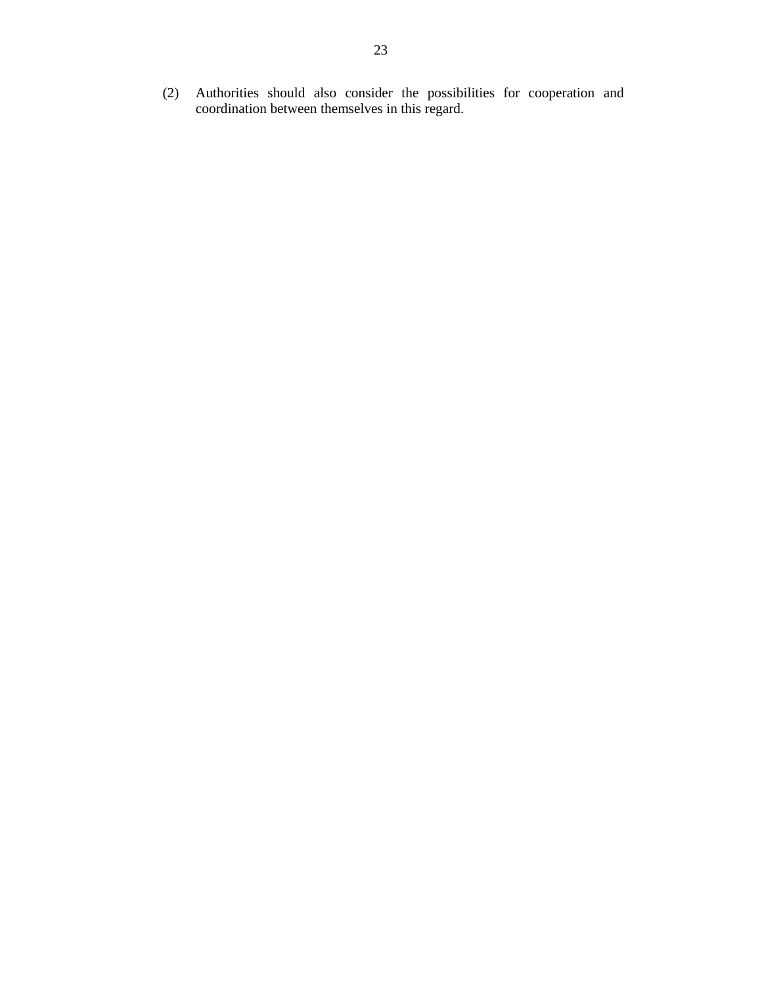(2) Authorities should also consider the possibilities for cooperation and coordination between themselves in this regard.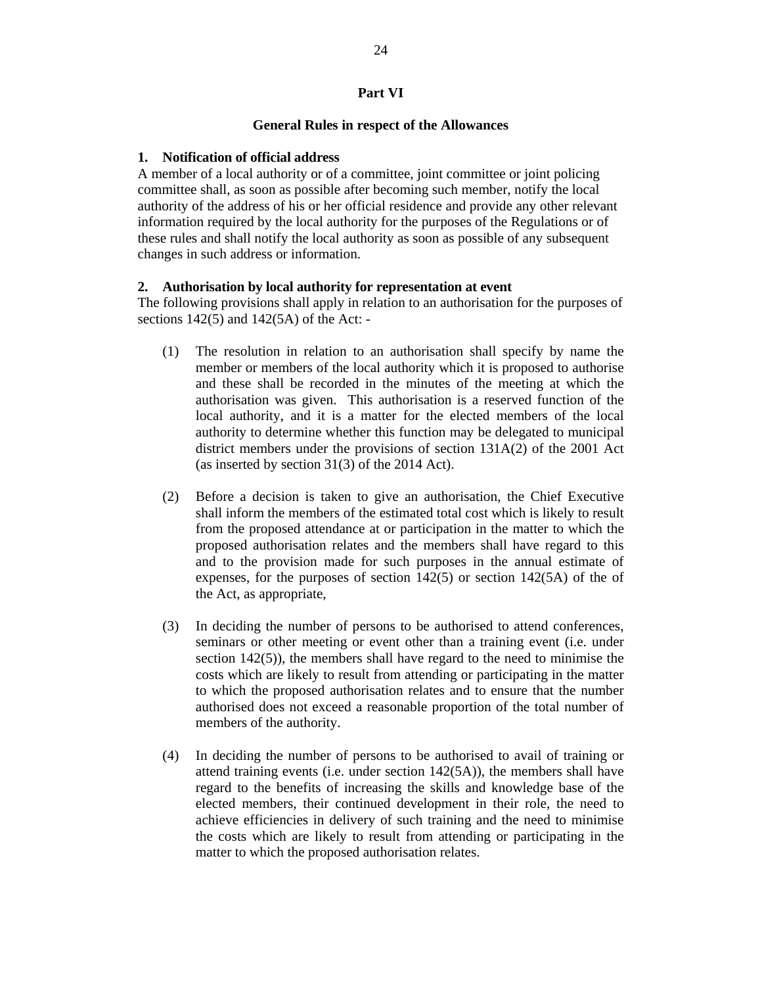### **Part VI**

#### **General Rules in respect of the Allowances**

#### **1. Notification of official address**

A member of a local authority or of a committee, joint committee or joint policing committee shall, as soon as possible after becoming such member, notify the local authority of the address of his or her official residence and provide any other relevant information required by the local authority for the purposes of the Regulations or of these rules and shall notify the local authority as soon as possible of any subsequent changes in such address or information.

#### **2. Authorisation by local authority for representation at event**

The following provisions shall apply in relation to an authorisation for the purposes of sections  $142(5)$  and  $142(5)$  of the Act: -

- (1) The resolution in relation to an authorisation shall specify by name the member or members of the local authority which it is proposed to authorise and these shall be recorded in the minutes of the meeting at which the authorisation was given. This authorisation is a reserved function of the local authority, and it is a matter for the elected members of the local authority to determine whether this function may be delegated to municipal district members under the provisions of section 131A(2) of the 2001 Act (as inserted by section 31(3) of the 2014 Act).
- (2) Before a decision is taken to give an authorisation, the Chief Executive shall inform the members of the estimated total cost which is likely to result from the proposed attendance at or participation in the matter to which the proposed authorisation relates and the members shall have regard to this and to the provision made for such purposes in the annual estimate of expenses, for the purposes of section  $142(5)$  or section  $142(5)$  of the of the Act, as appropriate,
- (3) In deciding the number of persons to be authorised to attend conferences, seminars or other meeting or event other than a training event (i.e. under section 142(5)), the members shall have regard to the need to minimise the costs which are likely to result from attending or participating in the matter to which the proposed authorisation relates and to ensure that the number authorised does not exceed a reasonable proportion of the total number of members of the authority.
- (4) In deciding the number of persons to be authorised to avail of training or attend training events (i.e. under section 142(5A)), the members shall have regard to the benefits of increasing the skills and knowledge base of the elected members, their continued development in their role, the need to achieve efficiencies in delivery of such training and the need to minimise the costs which are likely to result from attending or participating in the matter to which the proposed authorisation relates.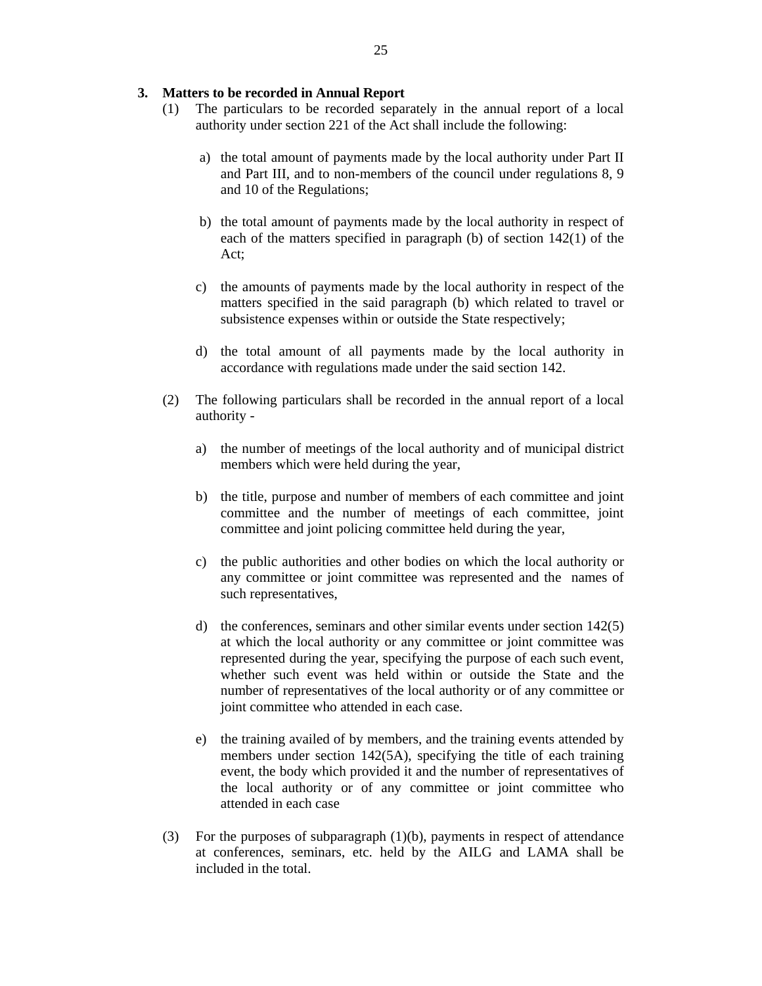#### **3. Matters to be recorded in Annual Report**

- (1) The particulars to be recorded separately in the annual report of a local authority under section 221 of the Act shall include the following:
	- a) the total amount of payments made by the local authority under Part II and Part III, and to non-members of the council under regulations 8, 9 and 10 of the Regulations;
	- b) the total amount of payments made by the local authority in respect of each of the matters specified in paragraph (b) of section 142(1) of the Act;
	- c) the amounts of payments made by the local authority in respect of the matters specified in the said paragraph (b) which related to travel or subsistence expenses within or outside the State respectively;
	- d) the total amount of all payments made by the local authority in accordance with regulations made under the said section 142.
- (2) The following particulars shall be recorded in the annual report of a local authority
	- a) the number of meetings of the local authority and of municipal district members which were held during the year,
	- b) the title, purpose and number of members of each committee and joint committee and the number of meetings of each committee, joint committee and joint policing committee held during the year,
	- c) the public authorities and other bodies on which the local authority or any committee or joint committee was represented and the names of such representatives,
	- d) the conferences, seminars and other similar events under section 142(5) at which the local authority or any committee or joint committee was represented during the year, specifying the purpose of each such event, whether such event was held within or outside the State and the number of representatives of the local authority or of any committee or joint committee who attended in each case.
	- e) the training availed of by members, and the training events attended by members under section 142(5A), specifying the title of each training event, the body which provided it and the number of representatives of the local authority or of any committee or joint committee who attended in each case
- (3) For the purposes of subparagraph (1)(b), payments in respect of attendance at conferences, seminars, etc. held by the AILG and LAMA shall be included in the total.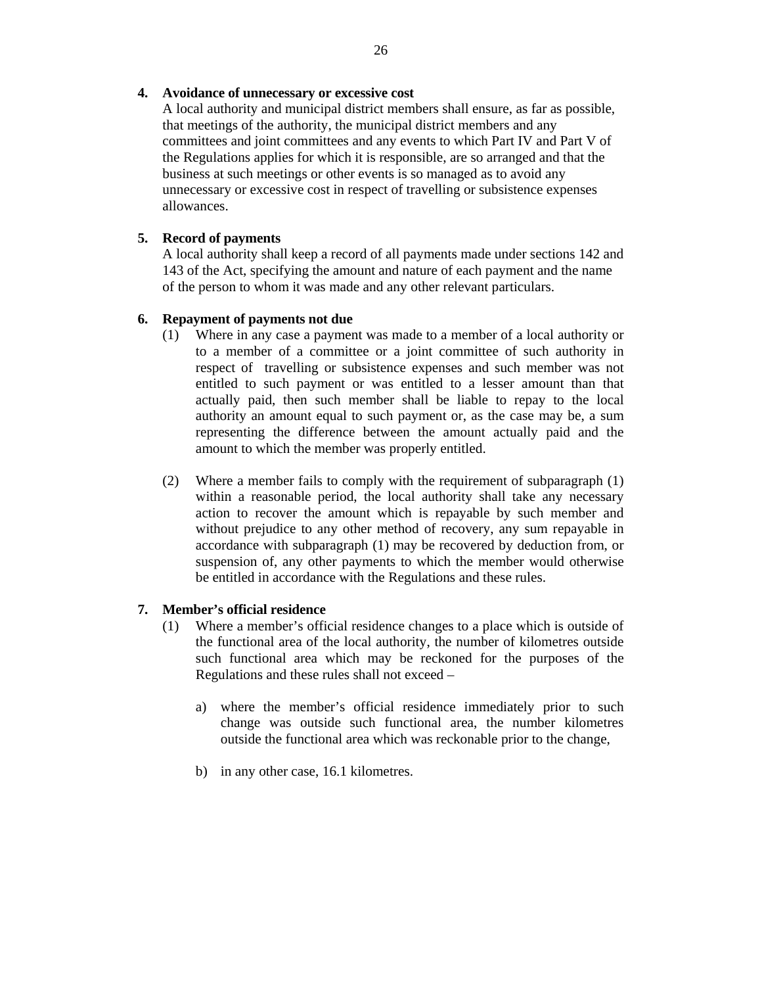### **4. Avoidance of unnecessary or excessive cost**

 A local authority and municipal district members shall ensure, as far as possible, that meetings of the authority, the municipal district members and any committees and joint committees and any events to which Part IV and Part V of the Regulations applies for which it is responsible, are so arranged and that the business at such meetings or other events is so managed as to avoid any unnecessary or excessive cost in respect of travelling or subsistence expenses allowances.

### **5. Record of payments**

 A local authority shall keep a record of all payments made under sections 142 and 143 of the Act, specifying the amount and nature of each payment and the name of the person to whom it was made and any other relevant particulars.

### **6. Repayment of payments not due**

- (1) Where in any case a payment was made to a member of a local authority or to a member of a committee or a joint committee of such authority in respect of travelling or subsistence expenses and such member was not entitled to such payment or was entitled to a lesser amount than that actually paid, then such member shall be liable to repay to the local authority an amount equal to such payment or, as the case may be, a sum representing the difference between the amount actually paid and the amount to which the member was properly entitled.
- (2) Where a member fails to comply with the requirement of subparagraph (1) within a reasonable period, the local authority shall take any necessary action to recover the amount which is repayable by such member and without prejudice to any other method of recovery, any sum repayable in accordance with subparagraph (1) may be recovered by deduction from, or suspension of, any other payments to which the member would otherwise be entitled in accordance with the Regulations and these rules.

#### **7. Member's official residence**

- (1) Where a member's official residence changes to a place which is outside of the functional area of the local authority, the number of kilometres outside such functional area which may be reckoned for the purposes of the Regulations and these rules shall not exceed –
	- a) where the member's official residence immediately prior to such change was outside such functional area, the number kilometres outside the functional area which was reckonable prior to the change,
	- b) in any other case, 16.1 kilometres.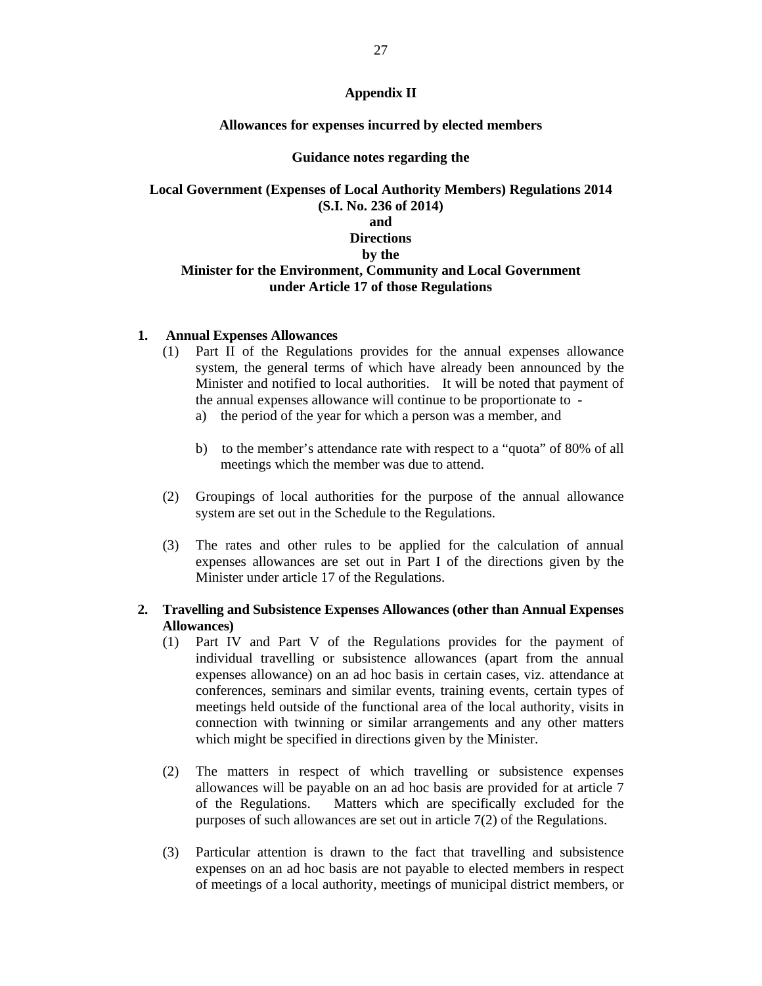### **Appendix II**

#### **Allowances for expenses incurred by elected members**

#### **Guidance notes regarding the**

## **Local Government (Expenses of Local Authority Members) Regulations 2014 (S.I. No. 236 of 2014) and Directions by the Minister for the Environment, Community and Local Government under Article 17 of those Regulations**

#### **1. Annual Expenses Allowances**

- (1) Part II of the Regulations provides for the annual expenses allowance system, the general terms of which have already been announced by the Minister and notified to local authorities. It will be noted that payment of the annual expenses allowance will continue to be proportionate to
	- a) the period of the year for which a person was a member, and
	- b) to the member's attendance rate with respect to a "quota" of 80% of all meetings which the member was due to attend.
- (2) Groupings of local authorities for the purpose of the annual allowance system are set out in the Schedule to the Regulations.
- (3) The rates and other rules to be applied for the calculation of annual expenses allowances are set out in Part I of the directions given by the Minister under article 17 of the Regulations.

### **2. Travelling and Subsistence Expenses Allowances (other than Annual Expenses Allowances)**

- (1) Part IV and Part V of the Regulations provides for the payment of individual travelling or subsistence allowances (apart from the annual expenses allowance) on an ad hoc basis in certain cases, viz. attendance at conferences, seminars and similar events, training events, certain types of meetings held outside of the functional area of the local authority, visits in connection with twinning or similar arrangements and any other matters which might be specified in directions given by the Minister.
- (2) The matters in respect of which travelling or subsistence expenses allowances will be payable on an ad hoc basis are provided for at article 7 of the Regulations. Matters which are specifically excluded for the purposes of such allowances are set out in article 7(2) of the Regulations.
- (3) Particular attention is drawn to the fact that travelling and subsistence expenses on an ad hoc basis are not payable to elected members in respect of meetings of a local authority, meetings of municipal district members, or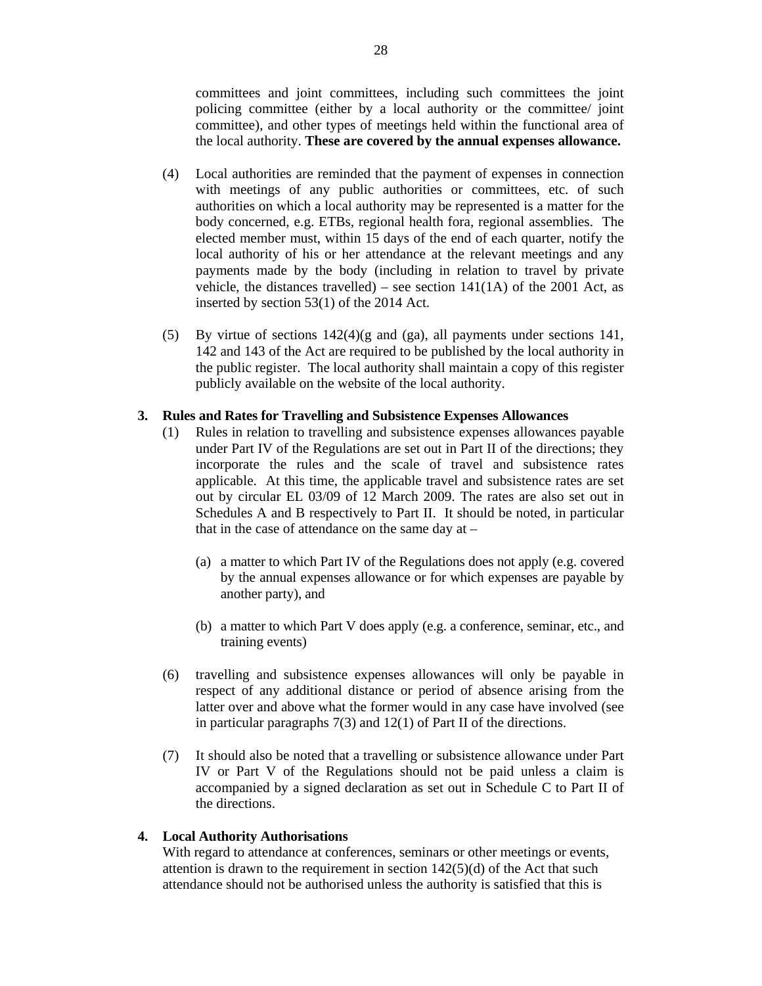committees and joint committees, including such committees the joint policing committee (either by a local authority or the committee/ joint committee), and other types of meetings held within the functional area of the local authority. **These are covered by the annual expenses allowance.**

- (4) Local authorities are reminded that the payment of expenses in connection with meetings of any public authorities or committees, etc. of such authorities on which a local authority may be represented is a matter for the body concerned, e.g. ETBs, regional health fora, regional assemblies. The elected member must, within 15 days of the end of each quarter, notify the local authority of his or her attendance at the relevant meetings and any payments made by the body (including in relation to travel by private vehicle, the distances travelled) – see section  $141(1A)$  of the 2001 Act, as inserted by section 53(1) of the 2014 Act.
- (5) By virtue of sections 142(4)(g and (ga), all payments under sections 141, 142 and 143 of the Act are required to be published by the local authority in the public register. The local authority shall maintain a copy of this register publicly available on the website of the local authority.

#### **3. Rules and Rates for Travelling and Subsistence Expenses Allowances**

- (1) Rules in relation to travelling and subsistence expenses allowances payable under Part IV of the Regulations are set out in Part II of the directions; they incorporate the rules and the scale of travel and subsistence rates applicable. At this time, the applicable travel and subsistence rates are set out by circular EL 03/09 of 12 March 2009. The rates are also set out in Schedules A and B respectively to Part II. It should be noted, in particular that in the case of attendance on the same day at  $-$ 
	- (a) a matter to which Part IV of the Regulations does not apply (e.g. covered by the annual expenses allowance or for which expenses are payable by another party), and
	- (b) a matter to which Part V does apply (e.g. a conference, seminar, etc., and training events)
- (6) travelling and subsistence expenses allowances will only be payable in respect of any additional distance or period of absence arising from the latter over and above what the former would in any case have involved (see in particular paragraphs 7(3) and 12(1) of Part II of the directions.
- (7) It should also be noted that a travelling or subsistence allowance under Part IV or Part V of the Regulations should not be paid unless a claim is accompanied by a signed declaration as set out in Schedule C to Part II of the directions.

#### **4. Local Authority Authorisations**

With regard to attendance at conferences, seminars or other meetings or events, attention is drawn to the requirement in section  $142(5)(d)$  of the Act that such attendance should not be authorised unless the authority is satisfied that this is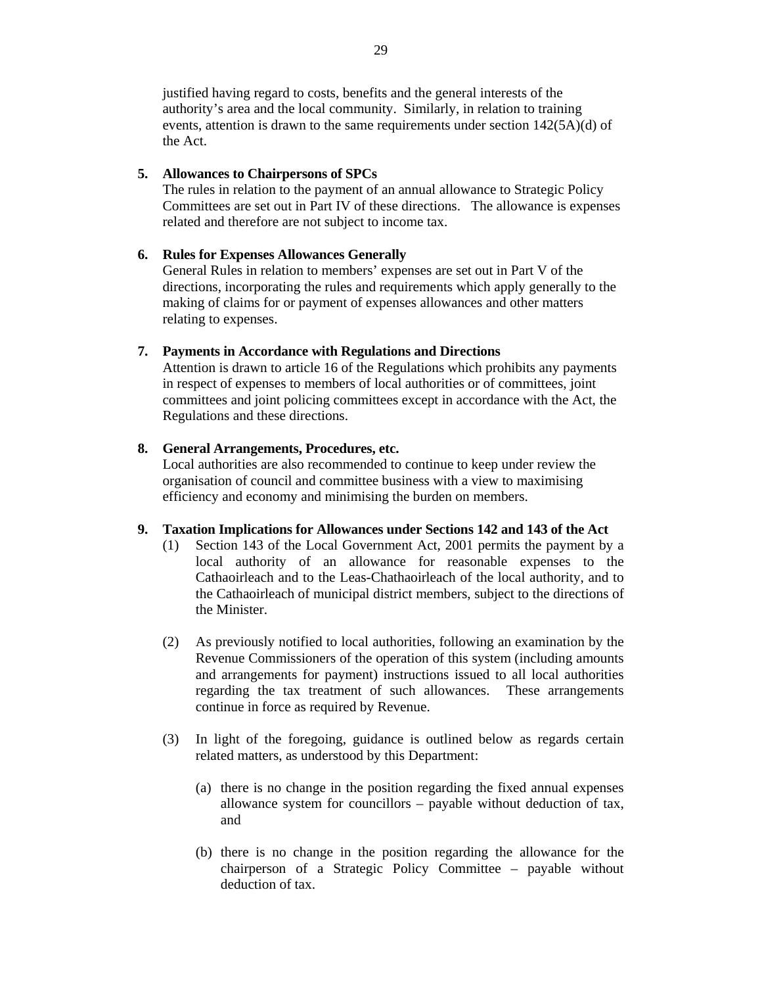justified having regard to costs, benefits and the general interests of the authority's area and the local community. Similarly, in relation to training events, attention is drawn to the same requirements under section 142(5A)(d) of the Act.

### **5. Allowances to Chairpersons of SPCs**

The rules in relation to the payment of an annual allowance to Strategic Policy Committees are set out in Part IV of these directions. The allowance is expenses related and therefore are not subject to income tax.

## **6. Rules for Expenses Allowances Generally**

General Rules in relation to members' expenses are set out in Part V of the directions, incorporating the rules and requirements which apply generally to the making of claims for or payment of expenses allowances and other matters relating to expenses.

## **7. Payments in Accordance with Regulations and Directions**

Attention is drawn to article 16 of the Regulations which prohibits any payments in respect of expenses to members of local authorities or of committees, joint committees and joint policing committees except in accordance with the Act, the Regulations and these directions.

## **8. General Arrangements, Procedures, etc.**

Local authorities are also recommended to continue to keep under review the organisation of council and committee business with a view to maximising efficiency and economy and minimising the burden on members.

### **9. Taxation Implications for Allowances under Sections 142 and 143 of the Act**

- (1) Section 143 of the Local Government Act, 2001 permits the payment by a local authority of an allowance for reasonable expenses to the Cathaoirleach and to the Leas-Chathaoirleach of the local authority, and to the Cathaoirleach of municipal district members, subject to the directions of the Minister.
- (2) As previously notified to local authorities, following an examination by the Revenue Commissioners of the operation of this system (including amounts and arrangements for payment) instructions issued to all local authorities regarding the tax treatment of such allowances. These arrangements continue in force as required by Revenue.
- (3) In light of the foregoing, guidance is outlined below as regards certain related matters, as understood by this Department:
	- (a) there is no change in the position regarding the fixed annual expenses allowance system for councillors – payable without deduction of tax, and
	- (b) there is no change in the position regarding the allowance for the chairperson of a Strategic Policy Committee – payable without deduction of tax.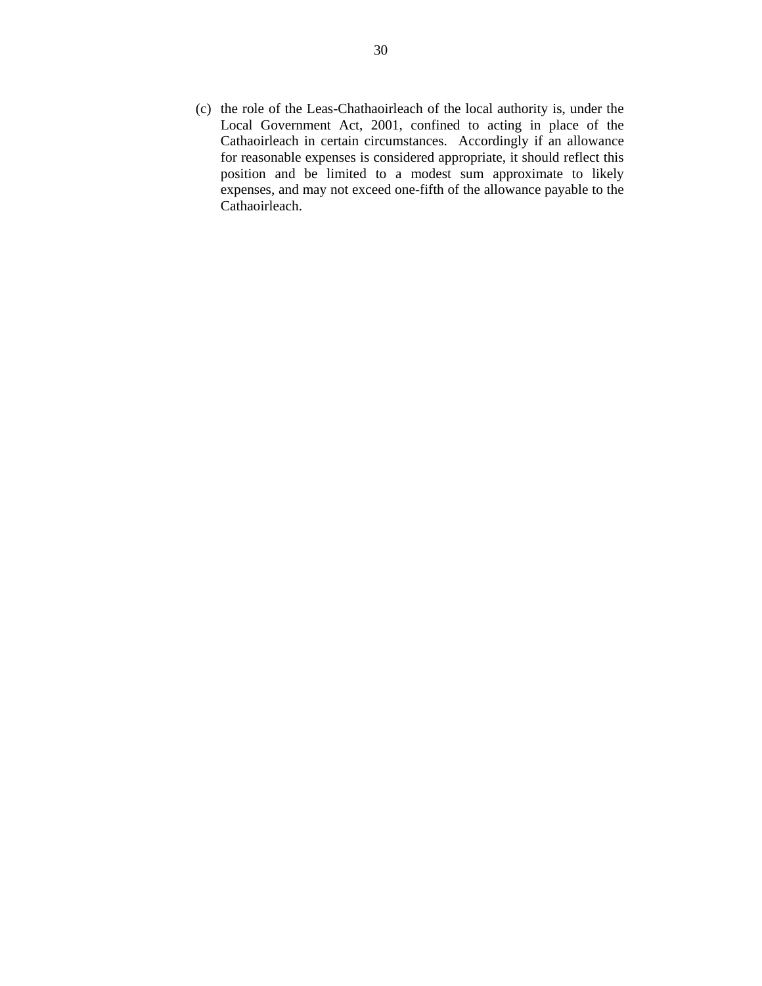(c) the role of the Leas-Chathaoirleach of the local authority is, under the Local Government Act, 2001, confined to acting in place of the Cathaoirleach in certain circumstances. Accordingly if an allowance for reasonable expenses is considered appropriate, it should reflect this position and be limited to a modest sum approximate to likely expenses, and may not exceed one-fifth of the allowance payable to the Cathaoirleach.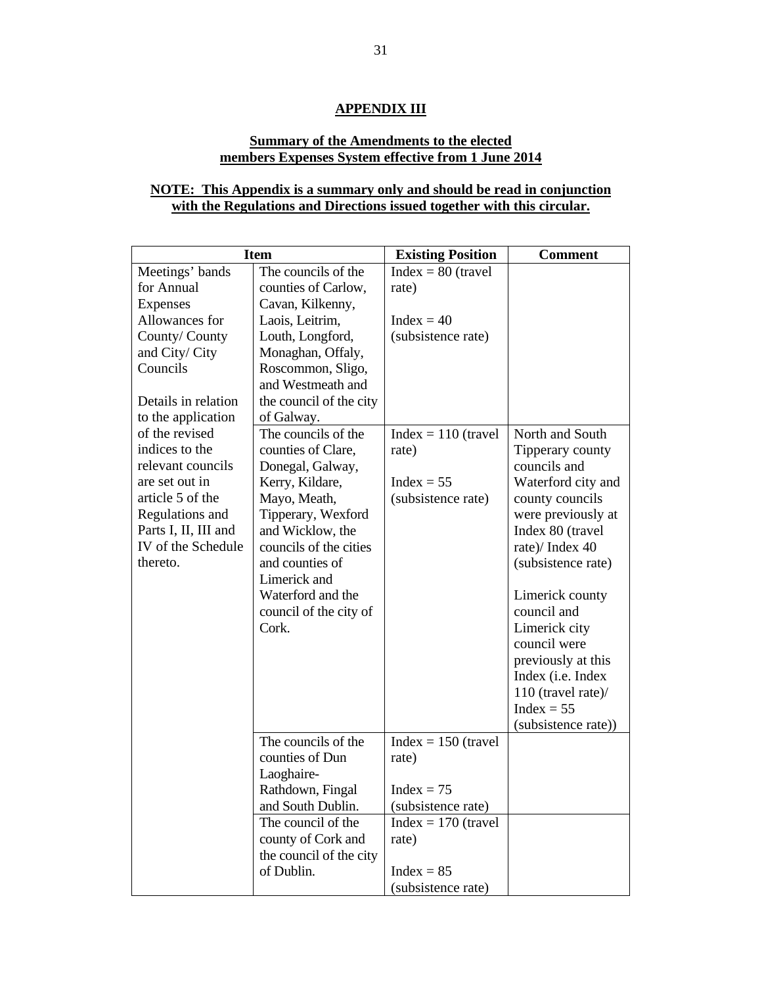## **APPENDIX III**

# **Summary of the Amendments to the elected members Expenses System effective from 1 June 2014**

# **NOTE: This Appendix is a summary only and should be read in conjunction with the Regulations and Directions issued together with this circular.**

| <b>Item</b>          |                         | <b>Existing Position</b> | <b>Comment</b>      |
|----------------------|-------------------------|--------------------------|---------------------|
| Meetings' bands      | The councils of the     | $Index = 80$ (travel     |                     |
| for Annual           | counties of Carlow,     | rate)                    |                     |
| <b>Expenses</b>      | Cavan, Kilkenny,        |                          |                     |
| Allowances for       | Laois, Leitrim,         | $Index = 40$             |                     |
| County/County        | Louth, Longford,        | (subsistence rate)       |                     |
| and City/ City       | Monaghan, Offaly,       |                          |                     |
| Councils             | Roscommon, Sligo,       |                          |                     |
|                      | and Westmeath and       |                          |                     |
| Details in relation  | the council of the city |                          |                     |
| to the application   | of Galway.              |                          |                     |
| of the revised       | The councils of the     | $Index = 110$ (travel    | North and South     |
| indices to the       | counties of Clare,      | rate)                    | Tipperary county    |
| relevant councils    | Donegal, Galway,        |                          | councils and        |
| are set out in       | Kerry, Kildare,         | $Index = 55$             | Waterford city and  |
| article 5 of the     | Mayo, Meath,            | (subsistence rate)       | county councils     |
| Regulations and      | Tipperary, Wexford      |                          | were previously at  |
| Parts I, II, III and | and Wicklow, the        |                          | Index 80 (travel    |
| IV of the Schedule   | councils of the cities  |                          | rate)/Index 40      |
| thereto.             | and counties of         |                          | (subsistence rate)  |
|                      | Limerick and            |                          |                     |
|                      | Waterford and the       |                          | Limerick county     |
|                      | council of the city of  |                          | council and         |
|                      | Cork.                   |                          | Limerick city       |
|                      |                         |                          | council were        |
|                      |                         |                          | previously at this  |
|                      |                         |                          | Index (i.e. Index   |
|                      |                         |                          | 110 (travel rate)/  |
|                      |                         |                          | $Index = 55$        |
|                      |                         |                          | (subsistence rate)) |
|                      | The councils of the     | $Index = 150$ (travel    |                     |
|                      | counties of Dun         | rate)                    |                     |
|                      | Laoghaire-              |                          |                     |
|                      | Rathdown, Fingal        | $Index = 75$             |                     |
|                      | and South Dublin.       | (subsistence rate)       |                     |
|                      | The council of the      | $Index = 170$ (travel    |                     |
|                      | county of Cork and      | rate)                    |                     |
|                      | the council of the city |                          |                     |
|                      | of Dublin.              | $Index = 85$             |                     |
|                      |                         | (subsistence rate)       |                     |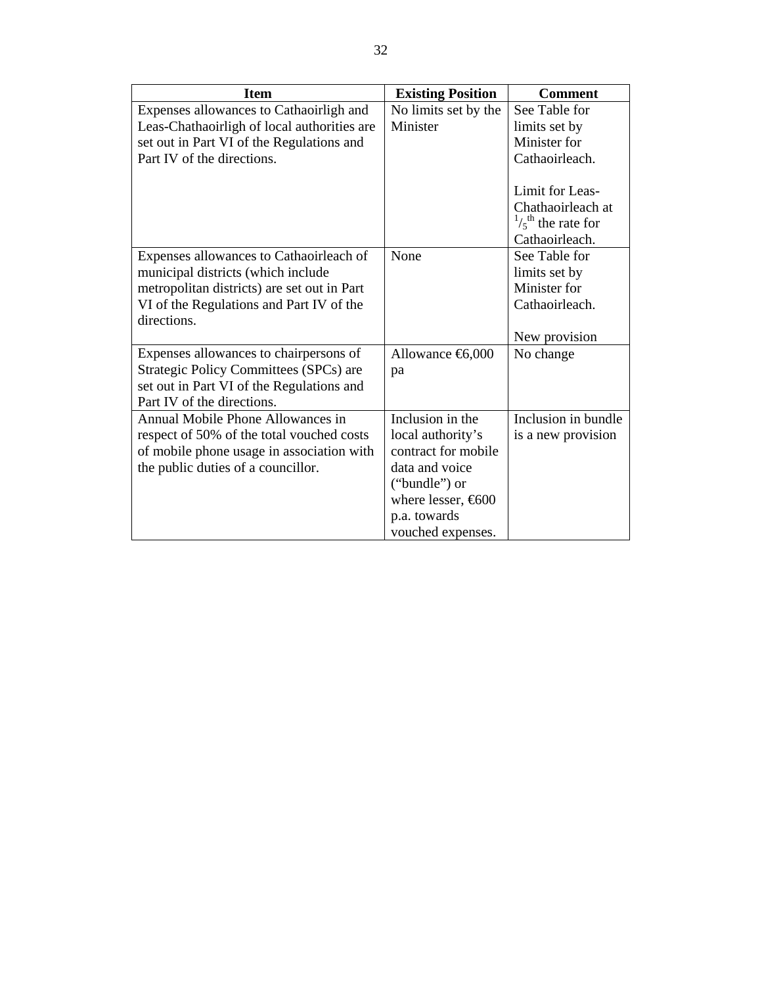| <b>Item</b>                                   | <b>Existing Position</b> | <b>Comment</b>             |
|-----------------------------------------------|--------------------------|----------------------------|
| Expenses allowances to Cathaoirligh and       | No limits set by the     | See Table for              |
| Leas-Chathaoirligh of local authorities are   | Minister                 | limits set by              |
| set out in Part VI of the Regulations and     |                          | Minister for               |
| Part IV of the directions.                    |                          | Cathaoirleach.             |
|                                               |                          |                            |
|                                               |                          | Limit for Leas-            |
|                                               |                          | Chathaoirleach at          |
|                                               |                          | $\frac{1}{5}$ the rate for |
|                                               |                          | Cathaoirleach.             |
| Expenses allowances to Cathaoirleach of       | None                     | See Table for              |
| municipal districts (which include            |                          | limits set by              |
| metropolitan districts) are set out in Part   |                          | Minister for               |
| VI of the Regulations and Part IV of the      |                          | Cathaoirleach.             |
| directions.                                   |                          |                            |
|                                               |                          | New provision              |
| Expenses allowances to chairpersons of        |                          | No change                  |
| <b>Strategic Policy Committees (SPCs) are</b> | pa                       |                            |
| set out in Part VI of the Regulations and     |                          |                            |
| Part IV of the directions.                    |                          |                            |
| Annual Mobile Phone Allowances in             | Inclusion in the         | Inclusion in bundle        |
| respect of 50% of the total vouched costs     | local authority's        | is a new provision         |
| of mobile phone usage in association with     | contract for mobile      |                            |
| the public duties of a councillor.            | data and voice           |                            |
|                                               | ("bundle") or            |                            |
|                                               | where lesser, $600$      |                            |
|                                               | p.a. towards             |                            |
|                                               | vouched expenses.        |                            |